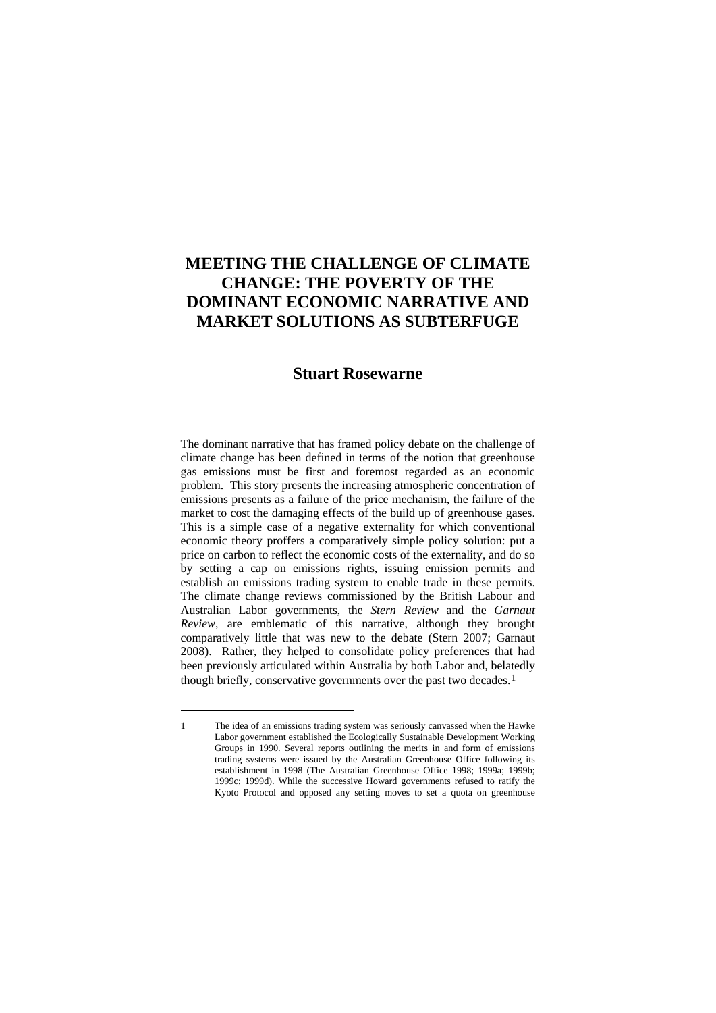# **MEETING THE CHALLENGE OF CLIMATE CHANGE: THE POVERTY OF THE DOMINANT ECONOMIC NARRATIVE AND MARKET SOLUTIONS AS SUBTERFUGE**

## **Stuart Rosewarne**

The dominant narrative that has framed policy debate on the challenge of climate change has been defined in terms of the notion that greenhouse gas emissions must be first and foremost regarded as an economic problem. This story presents the increasing atmospheric concentration of emissions presents as a failure of the price mechanism, the failure of the market to cost the damaging effects of the build up of greenhouse gases. This is a simple case of a negative externality for which conventional economic theory proffers a comparatively simple policy solution: put a price on carbon to reflect the economic costs of the externality, and do so by setting a cap on emissions rights, issuing emission permits and establish an emissions trading system to enable trade in these permits. The climate change reviews commissioned by the British Labour and Australian Labor governments, the *Stern Review* and the *Garnaut Review*, are emblematic of this narrative, although they brought comparatively little that was new to the debate (Stern 2007; Garnaut 2008). Rather, they helped to consolidate policy preferences that had been previously articulated within Australia by both Labor and, belatedly though briefly, conservative governments over the past two decades.<sup>[1](#page-0-0)</sup>

<span id="page-0-0"></span><sup>1</sup> The idea of an emissions trading system was seriously canvassed when the Hawke Labor government established the Ecologically Sustainable Development Working Groups in 1990. Several reports outlining the merits in and form of emissions trading systems were issued by the Australian Greenhouse Office following its establishment in 1998 (The Australian Greenhouse Office 1998; 1999a; 1999b; 1999c; 1999d). While the successive Howard governments refused to ratify the Kyoto Protocol and opposed any setting moves to set a quota on greenhouse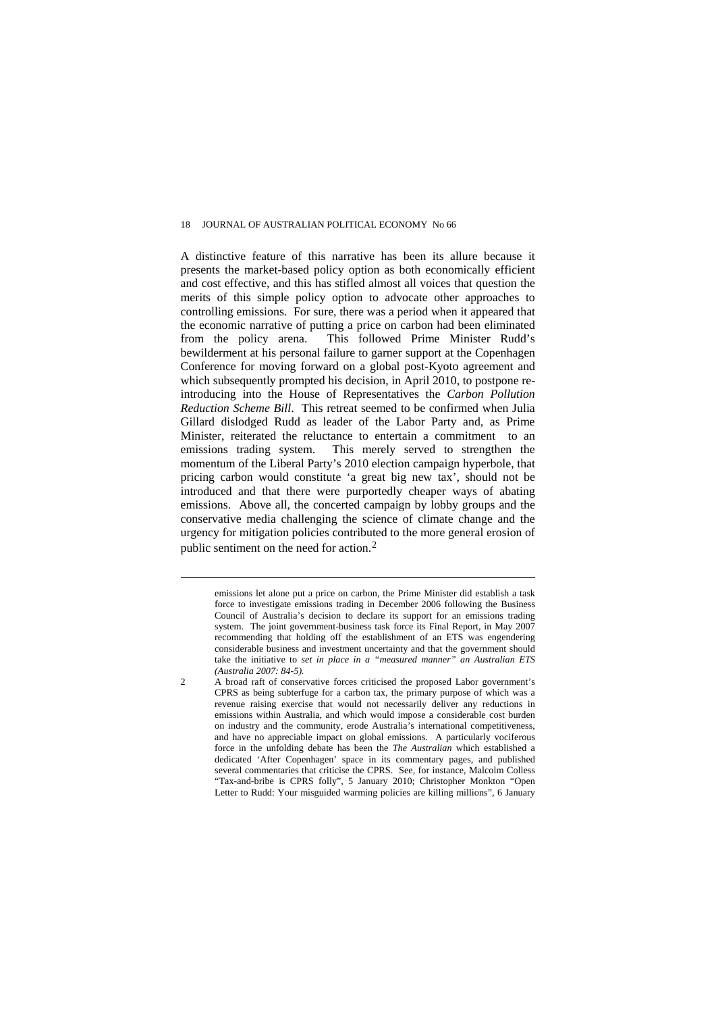A distinctive feature of this narrative has been its allure because it presents the market-based policy option as both economically efficient and cost effective, and this has stifled almost all voices that question the merits of this simple policy option to advocate other approaches to controlling emissions. For sure, there was a period when it appeared that the economic narrative of putting a price on carbon had been eliminated from the policy arena. This followed Prime Minister Rudd's bewilderment at his personal failure to garner support at the Copenhagen Conference for moving forward on a global post-Kyoto agreement and which subsequently prompted his decision, in April 2010, to postpone reintroducing into the House of Representatives the *Carbon Pollution Reduction Scheme Bill*. This retreat seemed to be confirmed when Julia Gillard dislodged Rudd as leader of the Labor Party and, as Prime Minister, reiterated the reluctance to entertain a commitment to an emissions trading system. This merely served to strengthen the momentum of the Liberal Party's 2010 election campaign hyperbole, that pricing carbon would constitute 'a great big new tax', should not be introduced and that there were purportedly cheaper ways of abating emissions. Above all, the concerted campaign by lobby groups and the conservative media challenging the science of climate change and the urgency for mitigation policies contributed to the more general erosion of public sentiment on the need for action.[2](#page-1-0)

<span id="page-1-0"></span>

emissions let alone put a price on carbon, the Prime Minister did establish a task force to investigate emissions trading in December 2006 following the Business Council of Australia's decision to declare its support for an emissions trading system. The joint government-business task force its Final Report, in May 2007 recommending that holding off the establishment of an ETS was engendering considerable business and investment uncertainty and that the government should take the initiative to *set in place in a "measured manner" an Australian ETS (Australia 2007: 84-5).*

<sup>2</sup> A broad raft of conservative forces criticised the proposed Labor government's CPRS as being subterfuge for a carbon tax, the primary purpose of which was a revenue raising exercise that would not necessarily deliver any reductions in emissions within Australia, and which would impose a considerable cost burden on industry and the community, erode Australia's international competitiveness, and have no appreciable impact on global emissions. A particularly vociferous force in the unfolding debate has been the *The Australian* which established a dedicated 'After Copenhagen' space in its commentary pages, and published several commentaries that criticise the CPRS. See, for instance, Malcolm Colless "Tax-and-bribe is CPRS folly", 5 January 2010; Christopher Monkton "Open Letter to Rudd: Your misguided warming policies are killing millions", 6 January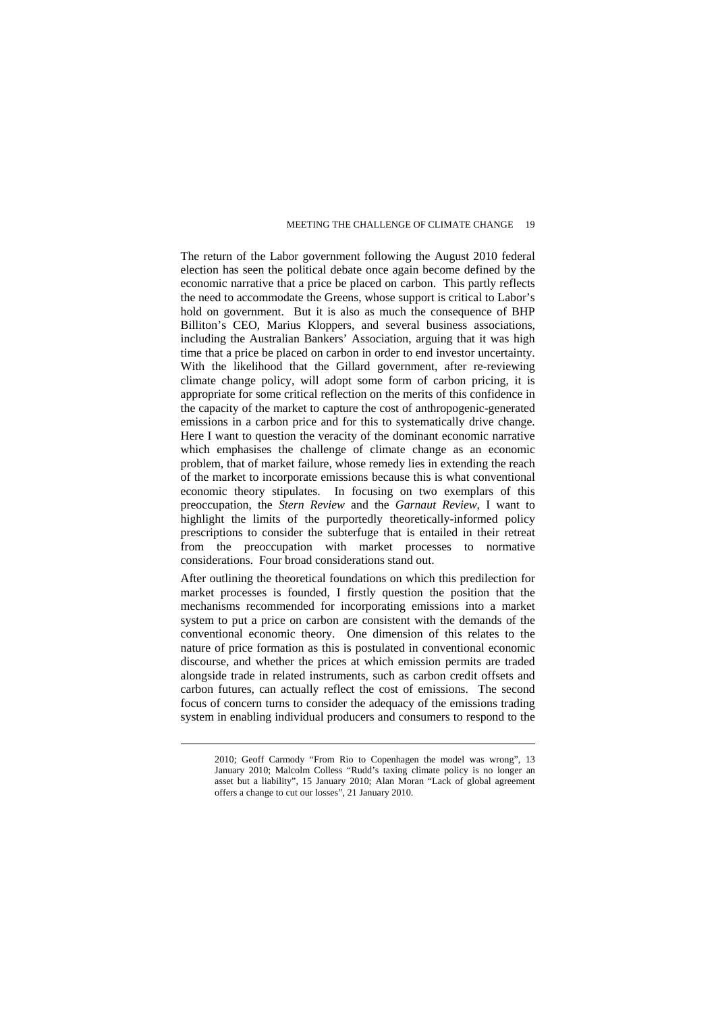The return of the Labor government following the August 2010 federal election has seen the political debate once again become defined by the economic narrative that a price be placed on carbon. This partly reflects the need to accommodate the Greens, whose support is critical to Labor's hold on government. But it is also as much the consequence of BHP Billiton's CEO, Marius Kloppers, and several business associations, including the Australian Bankers' Association, arguing that it was high time that a price be placed on carbon in order to end investor uncertainty. With the likelihood that the Gillard government, after re-reviewing climate change policy, will adopt some form of carbon pricing, it is appropriate for some critical reflection on the merits of this confidence in the capacity of the market to capture the cost of anthropogenic-generated emissions in a carbon price and for this to systematically drive change. Here I want to question the veracity of the dominant economic narrative which emphasises the challenge of climate change as an economic problem, that of market failure, whose remedy lies in extending the reach of the market to incorporate emissions because this is what conventional economic theory stipulates. In focusing on two exemplars of this preoccupation, the *Stern Review* and the *Garnaut Review*, I want to highlight the limits of the purportedly theoretically-informed policy prescriptions to consider the subterfuge that is entailed in their retreat from the preoccupation with market processes to normative considerations. Four broad considerations stand out.

After outlining the theoretical foundations on which this predilection for market processes is founded, I firstly question the position that the mechanisms recommended for incorporating emissions into a market system to put a price on carbon are consistent with the demands of the conventional economic theory. One dimension of this relates to the nature of price formation as this is postulated in conventional economic discourse, and whether the prices at which emission permits are traded alongside trade in related instruments, such as carbon credit offsets and carbon futures, can actually reflect the cost of emissions. The second focus of concern turns to consider the adequacy of the emissions trading system in enabling individual producers and consumers to respond to the

<sup>2010;</sup> Geoff Carmody "From Rio to Copenhagen the model was wrong", 13 January 2010; Malcolm Colless "Rudd's taxing climate policy is no longer an asset but a liability", 15 January 2010; Alan Moran "Lack of global agreement offers a change to cut our losses", 21 January 2010.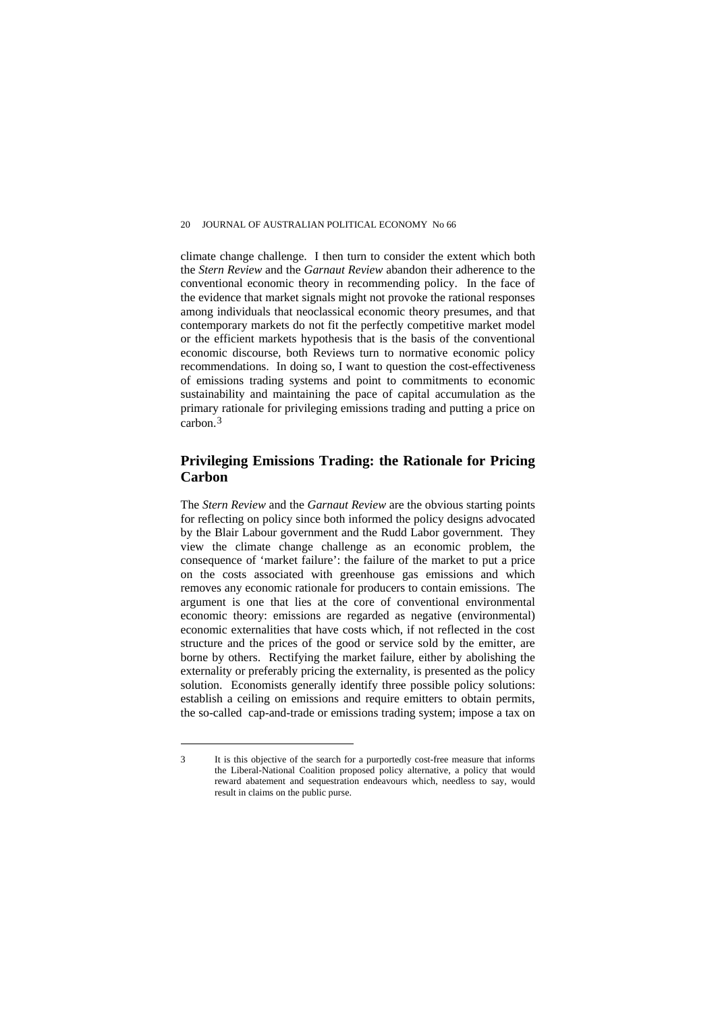climate change challenge. I then turn to consider the extent which both the *Stern Review* and the *Garnaut Review* abandon their adherence to the conventional economic theory in recommending policy. In the face of the evidence that market signals might not provoke the rational responses among individuals that neoclassical economic theory presumes, and that contemporary markets do not fit the perfectly competitive market model or the efficient markets hypothesis that is the basis of the conventional economic discourse, both Reviews turn to normative economic policy recommendations. In doing so, I want to question the cost-effectiveness of emissions trading systems and point to commitments to economic sustainability and maintaining the pace of capital accumulation as the primary rationale for privileging emissions trading and putting a price on carbon.[3](#page-3-0)

## **Privileging Emissions Trading: the Rationale for Pricing Carbon**

The *Stern Review* and the *Garnaut Review* are the obvious starting points for reflecting on policy since both informed the policy designs advocated by the Blair Labour government and the Rudd Labor government. They view the climate change challenge as an economic problem, the consequence of 'market failure': the failure of the market to put a price on the costs associated with greenhouse gas emissions and which removes any economic rationale for producers to contain emissions. The argument is one that lies at the core of conventional environmental economic theory: emissions are regarded as negative (environmental) economic externalities that have costs which, if not reflected in the cost structure and the prices of the good or service sold by the emitter, are borne by others. Rectifying the market failure, either by abolishing the externality or preferably pricing the externality, is presented as the policy solution. Economists generally identify three possible policy solutions: establish a ceiling on emissions and require emitters to obtain permits, the so-called cap-and-trade or emissions trading system; impose a tax on

<span id="page-3-0"></span><sup>3</sup> It is this objective of the search for a purportedly cost-free measure that informs the Liberal-National Coalition proposed policy alternative, a policy that would reward abatement and sequestration endeavours which, needless to say, would result in claims on the public purse.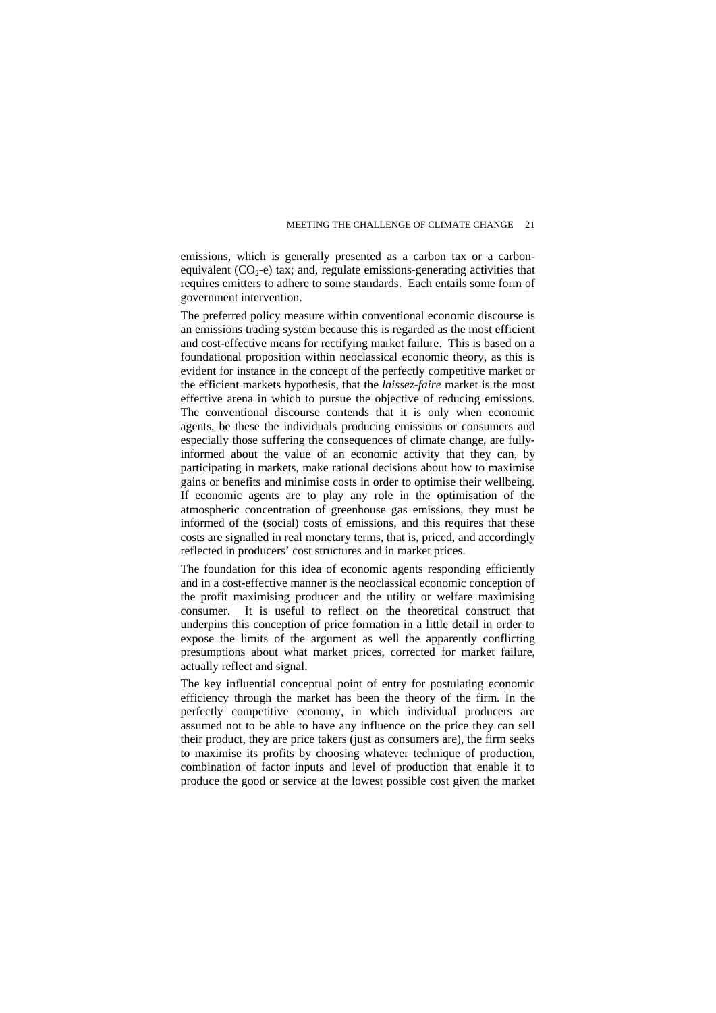emissions, which is generally presented as a carbon tax or a carbonequivalent  $(CO<sub>2</sub>-e)$  tax; and, regulate emissions-generating activities that requires emitters to adhere to some standards. Each entails some form of government intervention.

The preferred policy measure within conventional economic discourse is an emissions trading system because this is regarded as the most efficient and cost-effective means for rectifying market failure. This is based on a foundational proposition within neoclassical economic theory, as this is evident for instance in the concept of the perfectly competitive market or the efficient markets hypothesis, that the *laissez-faire* market is the most effective arena in which to pursue the objective of reducing emissions. The conventional discourse contends that it is only when economic agents, be these the individuals producing emissions or consumers and especially those suffering the consequences of climate change, are fullyinformed about the value of an economic activity that they can, by participating in markets, make rational decisions about how to maximise gains or benefits and minimise costs in order to optimise their wellbeing. If economic agents are to play any role in the optimisation of the atmospheric concentration of greenhouse gas emissions, they must be informed of the (social) costs of emissions, and this requires that these costs are signalled in real monetary terms, that is, priced, and accordingly reflected in producers' cost structures and in market prices.

The foundation for this idea of economic agents responding efficiently and in a cost-effective manner is the neoclassical economic conception of the profit maximising producer and the utility or welfare maximising consumer. It is useful to reflect on the theoretical construct that underpins this conception of price formation in a little detail in order to expose the limits of the argument as well the apparently conflicting presumptions about what market prices, corrected for market failure, actually reflect and signal.

The key influential conceptual point of entry for postulating economic efficiency through the market has been the theory of the firm. In the perfectly competitive economy, in which individual producers are assumed not to be able to have any influence on the price they can sell their product, they are price takers (just as consumers are), the firm seeks to maximise its profits by choosing whatever technique of production, combination of factor inputs and level of production that enable it to produce the good or service at the lowest possible cost given the market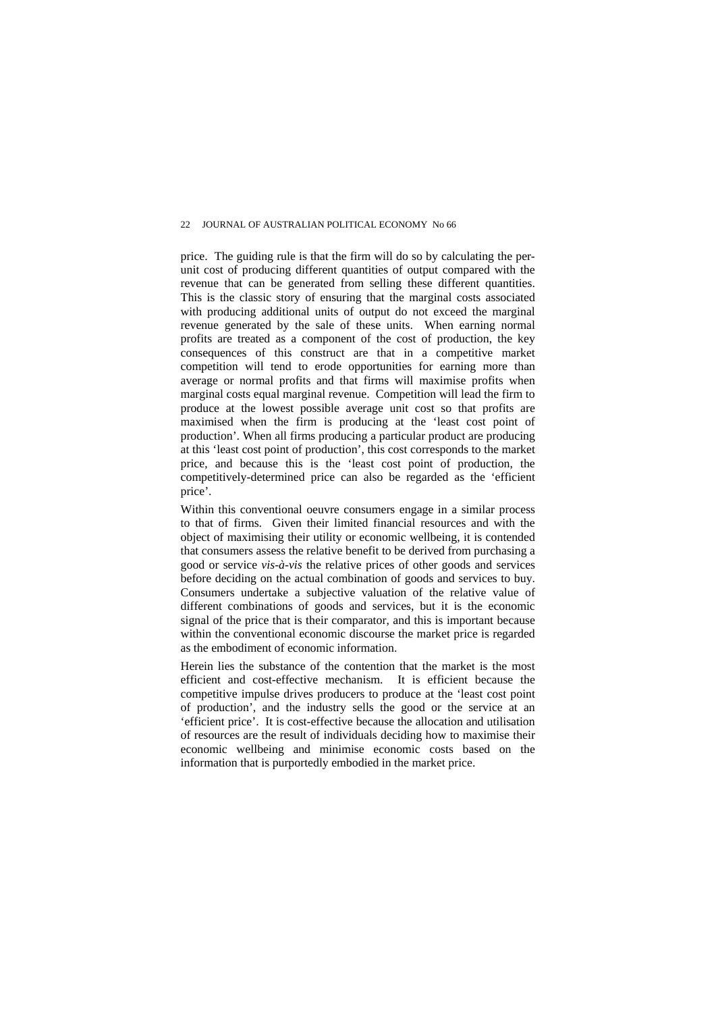price. The guiding rule is that the firm will do so by calculating the perunit cost of producing different quantities of output compared with the revenue that can be generated from selling these different quantities. This is the classic story of ensuring that the marginal costs associated with producing additional units of output do not exceed the marginal revenue generated by the sale of these units. When earning normal profits are treated as a component of the cost of production, the key consequences of this construct are that in a competitive market competition will tend to erode opportunities for earning more than average or normal profits and that firms will maximise profits when marginal costs equal marginal revenue. Competition will lead the firm to produce at the lowest possible average unit cost so that profits are maximised when the firm is producing at the 'least cost point of production'. When all firms producing a particular product are producing at this 'least cost point of production', this cost corresponds to the market price, and because this is the 'least cost point of production, the competitively-determined price can also be regarded as the 'efficient price'.

Within this conventional oeuvre consumers engage in a similar process to that of firms. Given their limited financial resources and with the object of maximising their utility or economic wellbeing, it is contended that consumers assess the relative benefit to be derived from purchasing a good or service *vis-à-vis* the relative prices of other goods and services before deciding on the actual combination of goods and services to buy. Consumers undertake a subjective valuation of the relative value of different combinations of goods and services, but it is the economic signal of the price that is their comparator, and this is important because within the conventional economic discourse the market price is regarded as the embodiment of economic information.

Herein lies the substance of the contention that the market is the most efficient and cost-effective mechanism. It is efficient because the competitive impulse drives producers to produce at the 'least cost point of production', and the industry sells the good or the service at an 'efficient price'. It is cost-effective because the allocation and utilisation of resources are the result of individuals deciding how to maximise their economic wellbeing and minimise economic costs based on the information that is purportedly embodied in the market price.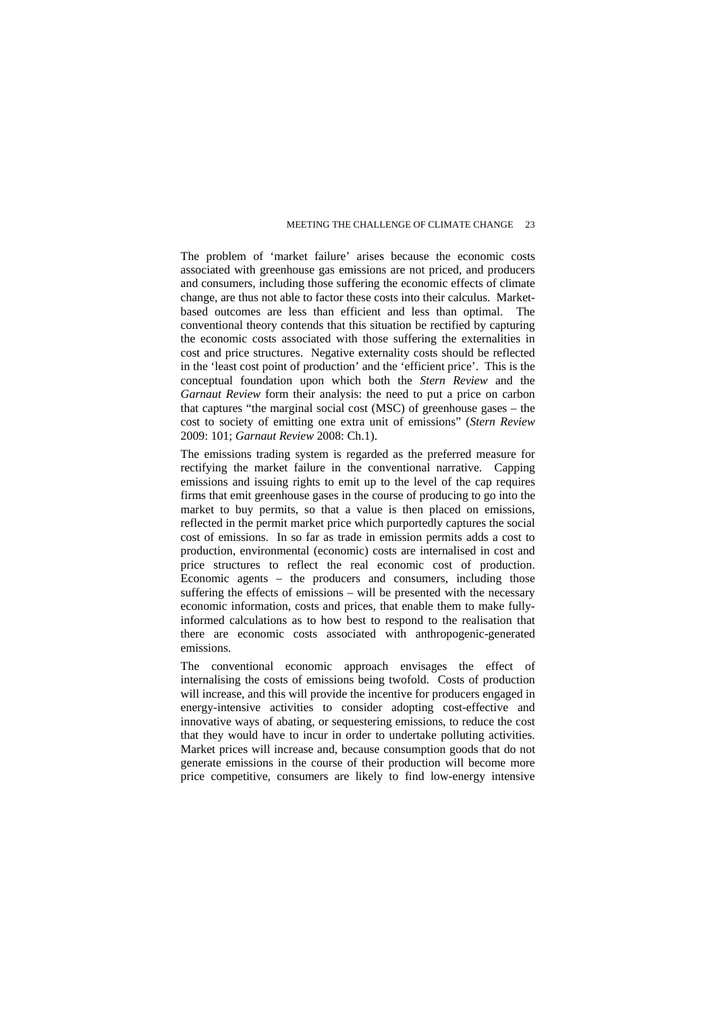The problem of 'market failure' arises because the economic costs associated with greenhouse gas emissions are not priced, and producers and consumers, including those suffering the economic effects of climate change, are thus not able to factor these costs into their calculus. Marketbased outcomes are less than efficient and less than optimal. The conventional theory contends that this situation be rectified by capturing the economic costs associated with those suffering the externalities in cost and price structures. Negative externality costs should be reflected in the 'least cost point of production' and the 'efficient price'. This is the conceptual foundation upon which both the *Stern Review* and the *Garnaut Review* form their analysis: the need to put a price on carbon that captures "the marginal social cost (MSC) of greenhouse gases – the cost to society of emitting one extra unit of emissions" (*Stern Review* 2009: 101; *Garnaut Review* 2008: Ch.1).

The emissions trading system is regarded as the preferred measure for rectifying the market failure in the conventional narrative. Capping emissions and issuing rights to emit up to the level of the cap requires firms that emit greenhouse gases in the course of producing to go into the market to buy permits, so that a value is then placed on emissions, reflected in the permit market price which purportedly captures the social cost of emissions. In so far as trade in emission permits adds a cost to production, environmental (economic) costs are internalised in cost and price structures to reflect the real economic cost of production. Economic agents – the producers and consumers, including those suffering the effects of emissions – will be presented with the necessary economic information, costs and prices, that enable them to make fullyinformed calculations as to how best to respond to the realisation that there are economic costs associated with anthropogenic-generated emissions.

The conventional economic approach envisages the effect of internalising the costs of emissions being twofold. Costs of production will increase, and this will provide the incentive for producers engaged in energy-intensive activities to consider adopting cost-effective and innovative ways of abating, or sequestering emissions, to reduce the cost that they would have to incur in order to undertake polluting activities. Market prices will increase and, because consumption goods that do not generate emissions in the course of their production will become more price competitive, consumers are likely to find low-energy intensive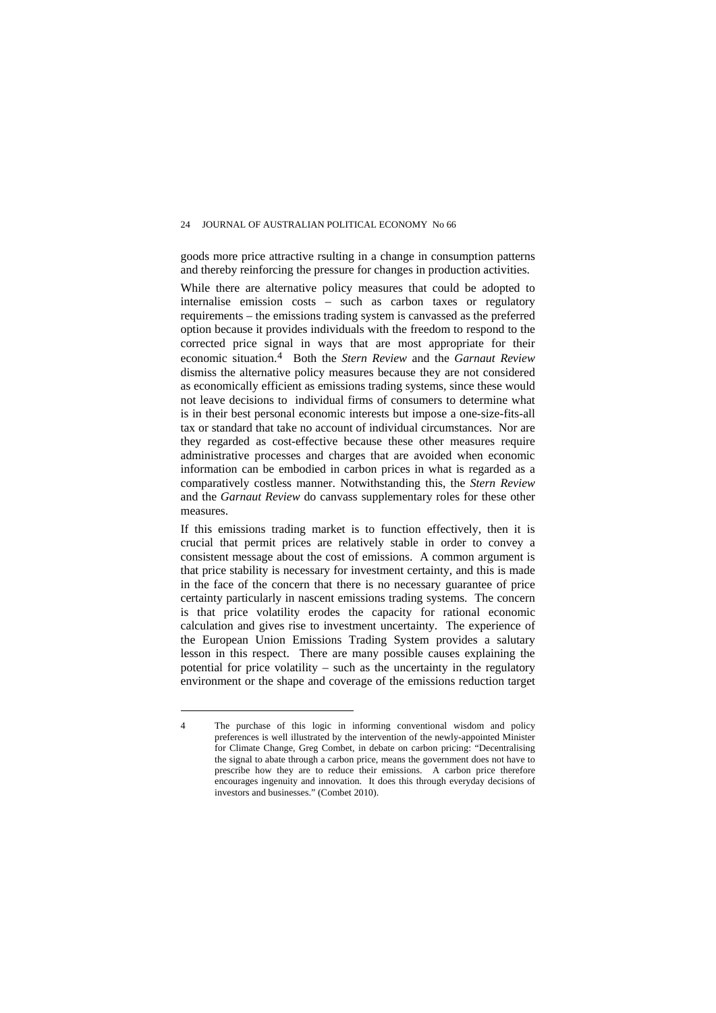goods more price attractive rsulting in a change in consumption patterns and thereby reinforcing the pressure for changes in production activities.

While there are alternative policy measures that could be adopted to internalise emission costs – such as carbon taxes or regulatory requirements – the emissions trading system is canvassed as the preferred option because it provides individuals with the freedom to respond to the corrected price signal in ways that are most appropriate for their economic situation.[4](#page-7-0) Both the *Stern Review* and the *Garnaut Review* dismiss the alternative policy measures because they are not considered as economically efficient as emissions trading systems, since these would not leave decisions to individual firms of consumers to determine what is in their best personal economic interests but impose a one-size-fits-all tax or standard that take no account of individual circumstances. Nor are they regarded as cost-effective because these other measures require administrative processes and charges that are avoided when economic information can be embodied in carbon prices in what is regarded as a comparatively costless manner. Notwithstanding this, the *Stern Review*  and the *Garnaut Review* do canvass supplementary roles for these other measures.

If this emissions trading market is to function effectively, then it is crucial that permit prices are relatively stable in order to convey a consistent message about the cost of emissions. A common argument is that price stability is necessary for investment certainty, and this is made in the face of the concern that there is no necessary guarantee of price certainty particularly in nascent emissions trading systems. The concern is that price volatility erodes the capacity for rational economic calculation and gives rise to investment uncertainty. The experience of the European Union Emissions Trading System provides a salutary lesson in this respect. There are many possible causes explaining the potential for price volatility – such as the uncertainty in the regulatory environment or the shape and coverage of the emissions reduction target

<span id="page-7-0"></span><sup>4</sup> The purchase of this logic in informing conventional wisdom and policy preferences is well illustrated by the intervention of the newly-appointed Minister for Climate Change, Greg Combet, in debate on carbon pricing: "Decentralising the signal to abate through a carbon price, means the government does not have to prescribe how they are to reduce their emissions. A carbon price therefore encourages ingenuity and innovation. It does this through everyday decisions of investors and businesses." (Combet 2010).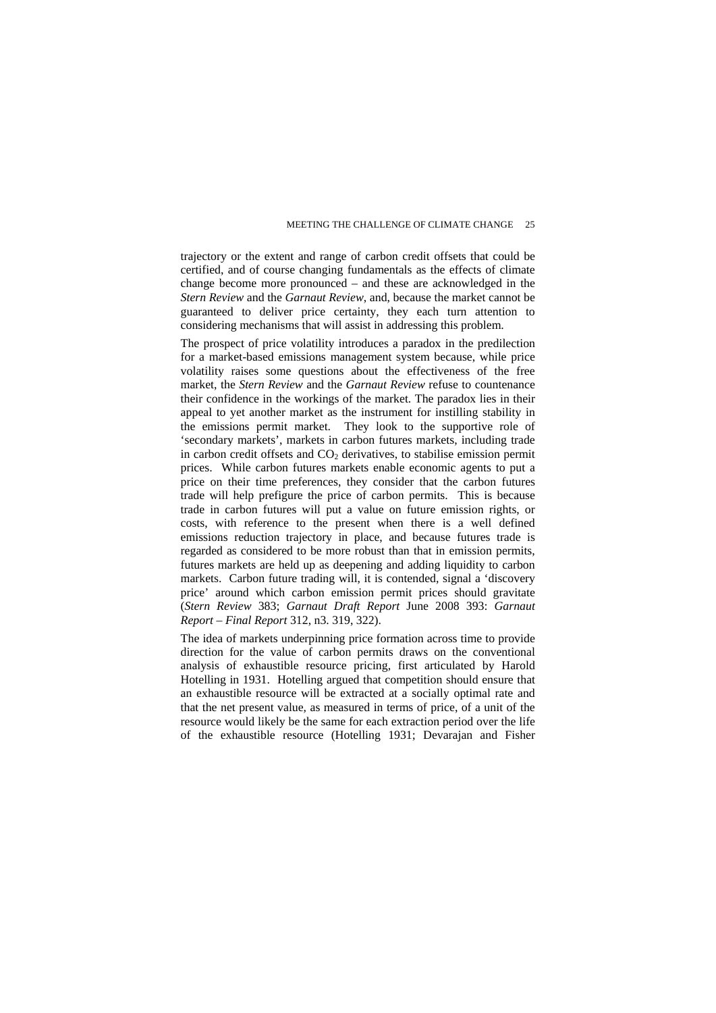trajectory or the extent and range of carbon credit offsets that could be certified, and of course changing fundamentals as the effects of climate change become more pronounced – and these are acknowledged in the *Stern Review* and the *Garnaut Review*, and, because the market cannot be guaranteed to deliver price certainty, they each turn attention to considering mechanisms that will assist in addressing this problem.

The prospect of price volatility introduces a paradox in the predilection for a market-based emissions management system because, while price volatility raises some questions about the effectiveness of the free market, the *Stern Review* and the *Garnaut Review* refuse to countenance their confidence in the workings of the market. The paradox lies in their appeal to yet another market as the instrument for instilling stability in the emissions permit market. They look to the supportive role of 'secondary markets', markets in carbon futures markets, including trade in carbon credit offsets and  $CO<sub>2</sub>$  derivatives, to stabilise emission permit prices. While carbon futures markets enable economic agents to put a price on their time preferences, they consider that the carbon futures trade will help prefigure the price of carbon permits. This is because trade in carbon futures will put a value on future emission rights, or costs, with reference to the present when there is a well defined emissions reduction trajectory in place, and because futures trade is regarded as considered to be more robust than that in emission permits, futures markets are held up as deepening and adding liquidity to carbon markets. Carbon future trading will, it is contended, signal a 'discovery price' around which carbon emission permit prices should gravitate (*Stern Review* 383; *Garnaut Draft Report* June 2008 393: *Garnaut Report – Final Report* 312, n3. 319, 322).

The idea of markets underpinning price formation across time to provide direction for the value of carbon permits draws on the conventional analysis of exhaustible resource pricing, first articulated by Harold Hotelling in 1931. Hotelling argued that competition should ensure that an exhaustible resource will be extracted at a socially optimal rate and that the net present value, as measured in terms of price, of a unit of the resource would likely be the same for each extraction period over the life of the exhaustible resource (Hotelling 1931; Devarajan and Fisher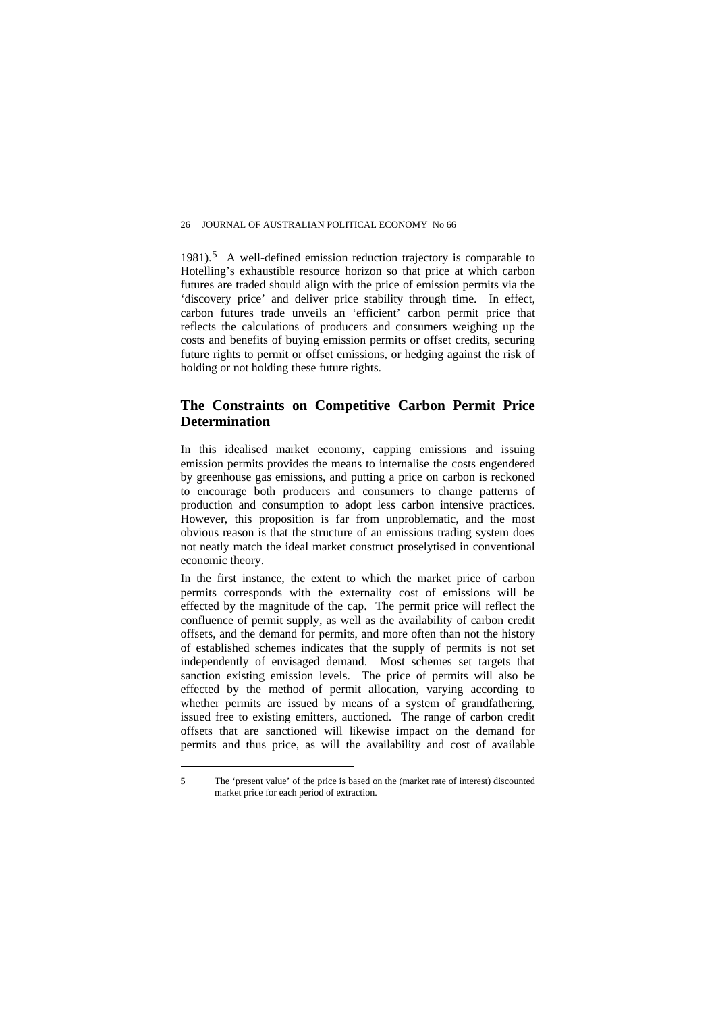1981).<sup>[5](#page-9-0)</sup> A well-defined emission reduction trajectory is comparable to Hotelling's exhaustible resource horizon so that price at which carbon futures are traded should align with the price of emission permits via the 'discovery price' and deliver price stability through time. In effect, carbon futures trade unveils an 'efficient' carbon permit price that reflects the calculations of producers and consumers weighing up the costs and benefits of buying emission permits or offset credits, securing future rights to permit or offset emissions, or hedging against the risk of holding or not holding these future rights.

#### **The Constraints on Competitive Carbon Permit Price Determination**

In this idealised market economy, capping emissions and issuing emission permits provides the means to internalise the costs engendered by greenhouse gas emissions, and putting a price on carbon is reckoned to encourage both producers and consumers to change patterns of production and consumption to adopt less carbon intensive practices. However, this proposition is far from unproblematic, and the most obvious reason is that the structure of an emissions trading system does not neatly match the ideal market construct proselytised in conventional economic theory.

In the first instance, the extent to which the market price of carbon permits corresponds with the externality cost of emissions will be effected by the magnitude of the cap. The permit price will reflect the confluence of permit supply, as well as the availability of carbon credit offsets, and the demand for permits, and more often than not the history of established schemes indicates that the supply of permits is not set independently of envisaged demand. Most schemes set targets that sanction existing emission levels. The price of permits will also be effected by the method of permit allocation, varying according to whether permits are issued by means of a system of grandfathering. issued free to existing emitters, auctioned. The range of carbon credit offsets that are sanctioned will likewise impact on the demand for permits and thus price, as will the availability and cost of available

<span id="page-9-0"></span><sup>5</sup> The 'present value' of the price is based on the (market rate of interest) discounted market price for each period of extraction.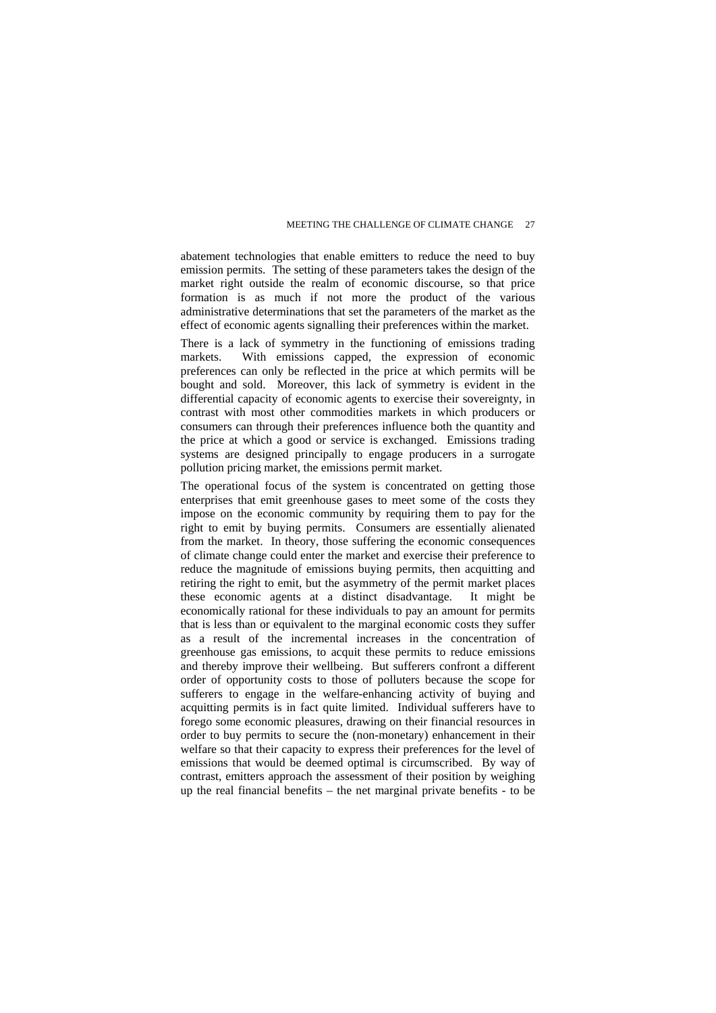abatement technologies that enable emitters to reduce the need to buy emission permits. The setting of these parameters takes the design of the market right outside the realm of economic discourse, so that price formation is as much if not more the product of the various administrative determinations that set the parameters of the market as the effect of economic agents signalling their preferences within the market.

There is a lack of symmetry in the functioning of emissions trading markets. With emissions capped, the expression of economic preferences can only be reflected in the price at which permits will be bought and sold. Moreover, this lack of symmetry is evident in the differential capacity of economic agents to exercise their sovereignty, in contrast with most other commodities markets in which producers or consumers can through their preferences influence both the quantity and the price at which a good or service is exchanged. Emissions trading systems are designed principally to engage producers in a surrogate pollution pricing market, the emissions permit market.

The operational focus of the system is concentrated on getting those enterprises that emit greenhouse gases to meet some of the costs they impose on the economic community by requiring them to pay for the right to emit by buying permits. Consumers are essentially alienated from the market. In theory, those suffering the economic consequences of climate change could enter the market and exercise their preference to reduce the magnitude of emissions buying permits, then acquitting and retiring the right to emit, but the asymmetry of the permit market places these economic agents at a distinct disadvantage. It might be economically rational for these individuals to pay an amount for permits that is less than or equivalent to the marginal economic costs they suffer as a result of the incremental increases in the concentration of greenhouse gas emissions, to acquit these permits to reduce emissions and thereby improve their wellbeing. But sufferers confront a different order of opportunity costs to those of polluters because the scope for sufferers to engage in the welfare-enhancing activity of buying and acquitting permits is in fact quite limited. Individual sufferers have to forego some economic pleasures, drawing on their financial resources in order to buy permits to secure the (non-monetary) enhancement in their welfare so that their capacity to express their preferences for the level of emissions that would be deemed optimal is circumscribed. By way of contrast, emitters approach the assessment of their position by weighing up the real financial benefits – the net marginal private benefits - to be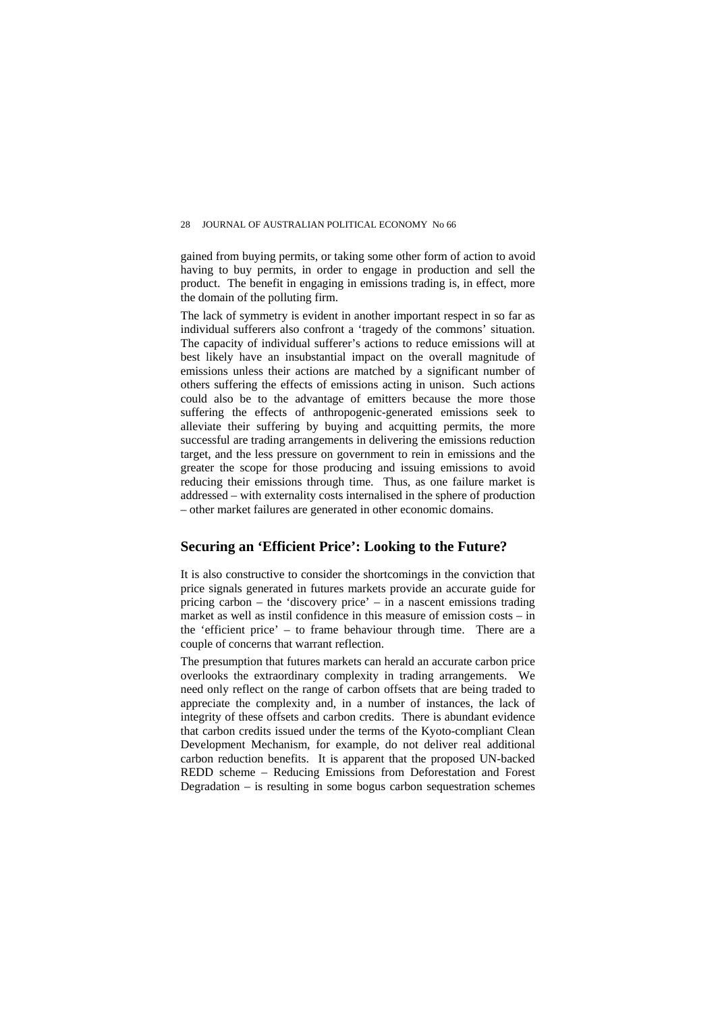gained from buying permits, or taking some other form of action to avoid having to buy permits, in order to engage in production and sell the product. The benefit in engaging in emissions trading is, in effect, more the domain of the polluting firm.

The lack of symmetry is evident in another important respect in so far as individual sufferers also confront a 'tragedy of the commons' situation. The capacity of individual sufferer's actions to reduce emissions will at best likely have an insubstantial impact on the overall magnitude of emissions unless their actions are matched by a significant number of others suffering the effects of emissions acting in unison. Such actions could also be to the advantage of emitters because the more those suffering the effects of anthropogenic-generated emissions seek to alleviate their suffering by buying and acquitting permits, the more successful are trading arrangements in delivering the emissions reduction target, and the less pressure on government to rein in emissions and the greater the scope for those producing and issuing emissions to avoid reducing their emissions through time. Thus, as one failure market is addressed – with externality costs internalised in the sphere of production – other market failures are generated in other economic domains.

#### **Securing an 'Efficient Price': Looking to the Future?**

It is also constructive to consider the shortcomings in the conviction that price signals generated in futures markets provide an accurate guide for pricing carbon – the 'discovery price' – in a nascent emissions trading market as well as instil confidence in this measure of emission costs – in the 'efficient price' – to frame behaviour through time. There are a couple of concerns that warrant reflection.

The presumption that futures markets can herald an accurate carbon price overlooks the extraordinary complexity in trading arrangements. We need only reflect on the range of carbon offsets that are being traded to appreciate the complexity and, in a number of instances, the lack of integrity of these offsets and carbon credits. There is abundant evidence that carbon credits issued under the terms of the Kyoto-compliant Clean Development Mechanism, for example, do not deliver real additional carbon reduction benefits. It is apparent that the proposed UN-backed REDD scheme – Reducing Emissions from Deforestation and Forest Degradation – is resulting in some bogus carbon sequestration schemes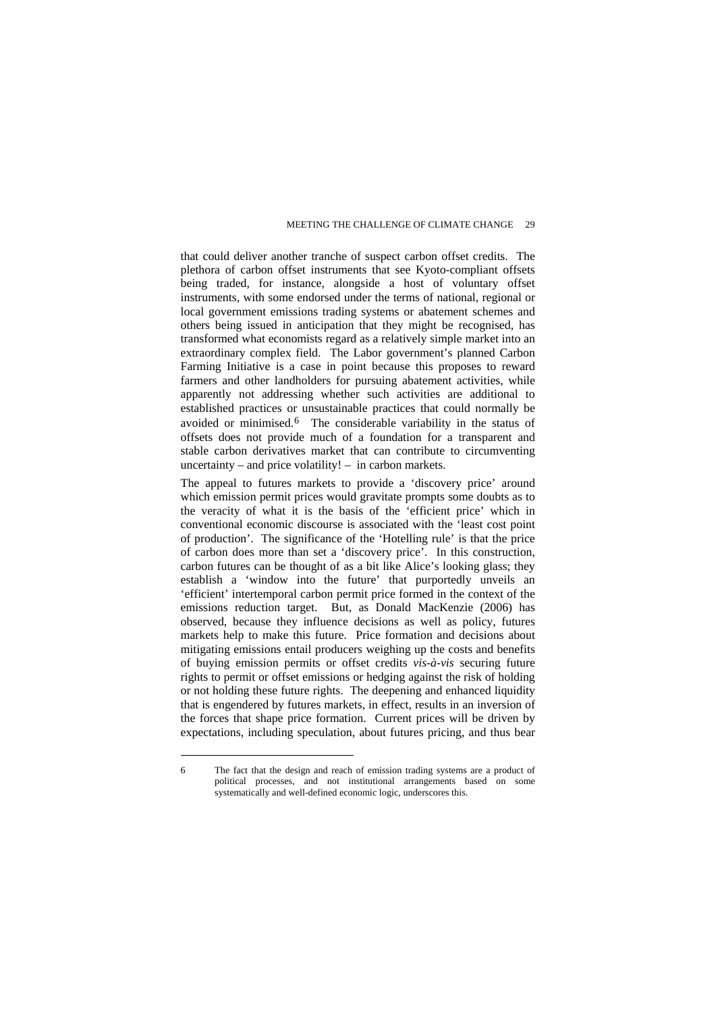that could deliver another tranche of suspect carbon offset credits. The plethora of carbon offset instruments that see Kyoto-compliant offsets being traded, for instance, alongside a host of voluntary offset instruments, with some endorsed under the terms of national, regional or local government emissions trading systems or abatement schemes and others being issued in anticipation that they might be recognised, has transformed what economists regard as a relatively simple market into an extraordinary complex field. The Labor government's planned Carbon Farming Initiative is a case in point because this proposes to reward farmers and other landholders for pursuing abatement activities, while apparently not addressing whether such activities are additional to established practices or unsustainable practices that could normally be avoided or minimised.[6](#page-12-0) The considerable variability in the status of offsets does not provide much of a foundation for a transparent and stable carbon derivatives market that can contribute to circumventing uncertainty – and price volatility! – in carbon markets.

The appeal to futures markets to provide a 'discovery price' around which emission permit prices would gravitate prompts some doubts as to the veracity of what it is the basis of the 'efficient price' which in conventional economic discourse is associated with the 'least cost point of production'. The significance of the 'Hotelling rule' is that the price of carbon does more than set a 'discovery price'. In this construction, carbon futures can be thought of as a bit like Alice's looking glass; they establish a 'window into the future' that purportedly unveils an 'efficient' intertemporal carbon permit price formed in the context of the emissions reduction target. But, as Donald MacKenzie (2006) has observed, because they influence decisions as well as policy, futures markets help to make this future. Price formation and decisions about mitigating emissions entail producers weighing up the costs and benefits of buying emission permits or offset credits *vis-à-vis* securing future rights to permit or offset emissions or hedging against the risk of holding or not holding these future rights. The deepening and enhanced liquidity that is engendered by futures markets, in effect, results in an inversion of the forces that shape price formation. Current prices will be driven by expectations, including speculation, about futures pricing, and thus bear

<span id="page-12-0"></span><sup>6</sup> The fact that the design and reach of emission trading systems are a product of political processes, and not institutional arrangements based on some systematically and well-defined economic logic, underscores this.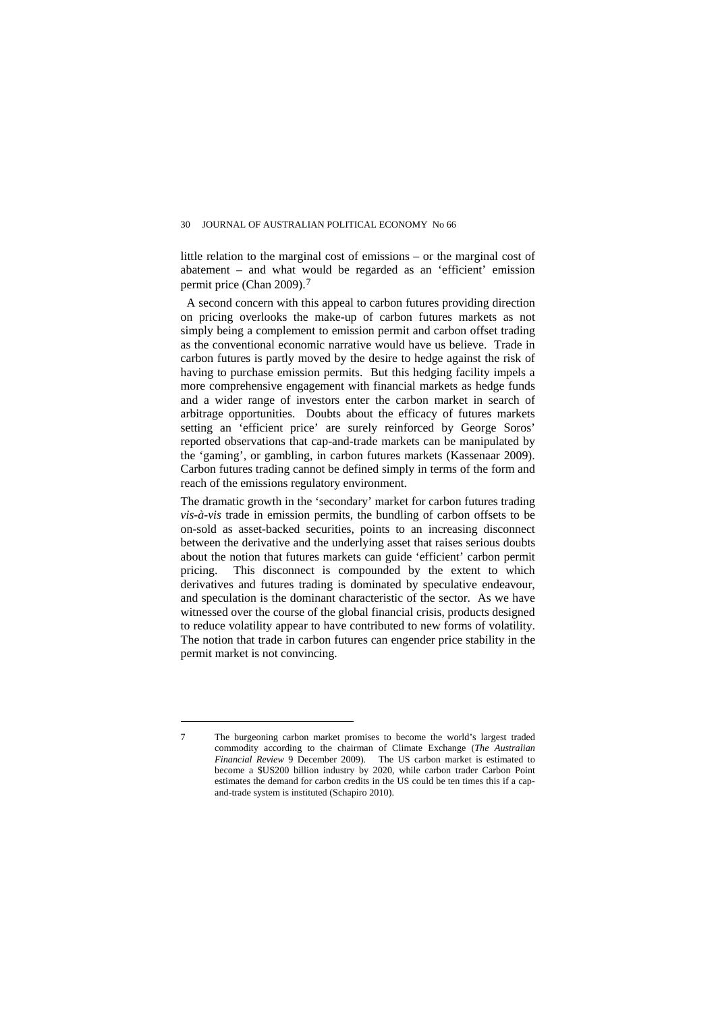little relation to the marginal cost of emissions – or the marginal cost of abatement – and what would be regarded as an 'efficient' emission permit price (Chan 2009).[7](#page-13-0)

 A second concern with this appeal to carbon futures providing direction on pricing overlooks the make-up of carbon futures markets as not simply being a complement to emission permit and carbon offset trading as the conventional economic narrative would have us believe. Trade in carbon futures is partly moved by the desire to hedge against the risk of having to purchase emission permits. But this hedging facility impels a more comprehensive engagement with financial markets as hedge funds and a wider range of investors enter the carbon market in search of arbitrage opportunities. Doubts about the efficacy of futures markets setting an 'efficient price' are surely reinforced by George Soros' reported observations that cap-and-trade markets can be manipulated by the 'gaming', or gambling, in carbon futures markets (Kassenaar 2009). Carbon futures trading cannot be defined simply in terms of the form and reach of the emissions regulatory environment.

The dramatic growth in the 'secondary' market for carbon futures trading *vis-à-vis* trade in emission permits, the bundling of carbon offsets to be on-sold as asset-backed securities, points to an increasing disconnect between the derivative and the underlying asset that raises serious doubts about the notion that futures markets can guide 'efficient' carbon permit pricing. This disconnect is compounded by the extent to which derivatives and futures trading is dominated by speculative endeavour, and speculation is the dominant characteristic of the sector. As we have witnessed over the course of the global financial crisis, products designed to reduce volatility appear to have contributed to new forms of volatility. The notion that trade in carbon futures can engender price stability in the permit market is not convincing.

<span id="page-13-0"></span><sup>7</sup> The burgeoning carbon market promises to become the world's largest traded commodity according to the chairman of Climate Exchange (*The Australian Financial Review* 9 December 2009). The US carbon market is estimated to become a \$US200 billion industry by 2020, while carbon trader Carbon Point estimates the demand for carbon credits in the US could be ten times this if a capand-trade system is instituted (Schapiro 2010).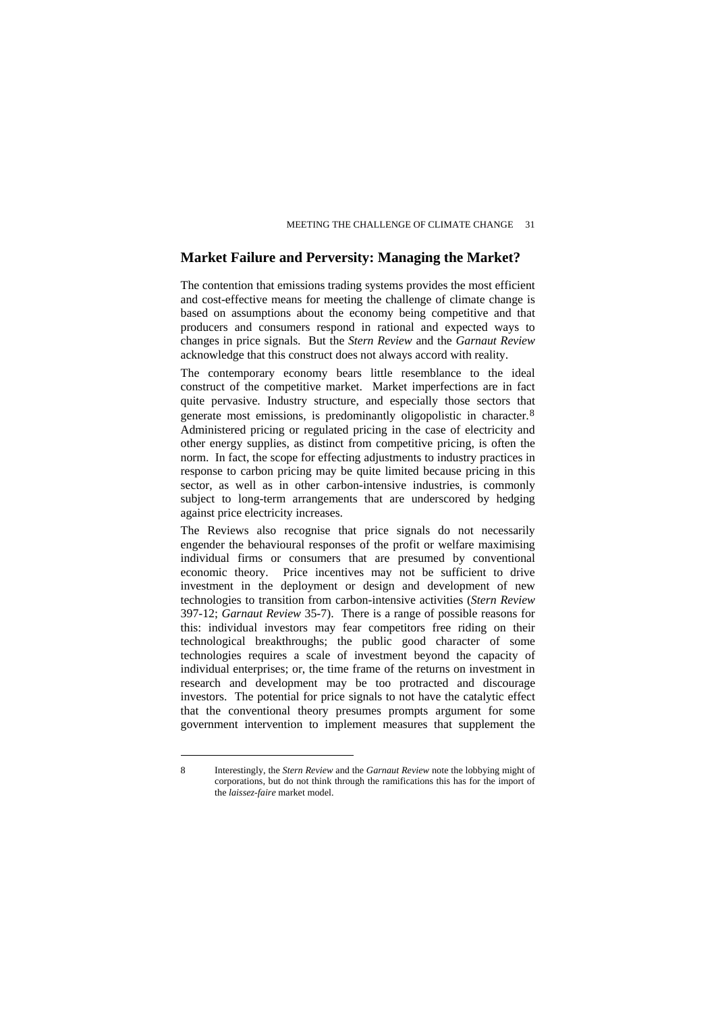#### **Market Failure and Perversity: Managing the Market?**

The contention that emissions trading systems provides the most efficient and cost-effective means for meeting the challenge of climate change is based on assumptions about the economy being competitive and that producers and consumers respond in rational and expected ways to changes in price signals. But the *Stern Review* and the *Garnaut Review*  acknowledge that this construct does not always accord with reality.

The contemporary economy bears little resemblance to the ideal construct of the competitive market. Market imperfections are in fact quite pervasive. Industry structure, and especially those sectors that generate most emissions, is predominantly oligopolistic in character.[8](#page-14-0) Administered pricing or regulated pricing in the case of electricity and other energy supplies, as distinct from competitive pricing, is often the norm. In fact, the scope for effecting adjustments to industry practices in response to carbon pricing may be quite limited because pricing in this sector, as well as in other carbon-intensive industries, is commonly subject to long-term arrangements that are underscored by hedging against price electricity increases.

The Reviews also recognise that price signals do not necessarily engender the behavioural responses of the profit or welfare maximising individual firms or consumers that are presumed by conventional economic theory. Price incentives may not be sufficient to drive investment in the deployment or design and development of new technologies to transition from carbon-intensive activities (*Stern Review*  397-12; *Garnaut Review* 35-7). There is a range of possible reasons for this: individual investors may fear competitors free riding on their technological breakthroughs; the public good character of some technologies requires a scale of investment beyond the capacity of individual enterprises; or, the time frame of the returns on investment in research and development may be too protracted and discourage investors. The potential for price signals to not have the catalytic effect that the conventional theory presumes prompts argument for some government intervention to implement measures that supplement the

<span id="page-14-0"></span><sup>8</sup> Interestingly, the *Stern Review* and the *Garnaut Review* note the lobbying might of corporations, but do not think through the ramifications this has for the import of the *laissez-faire* market model.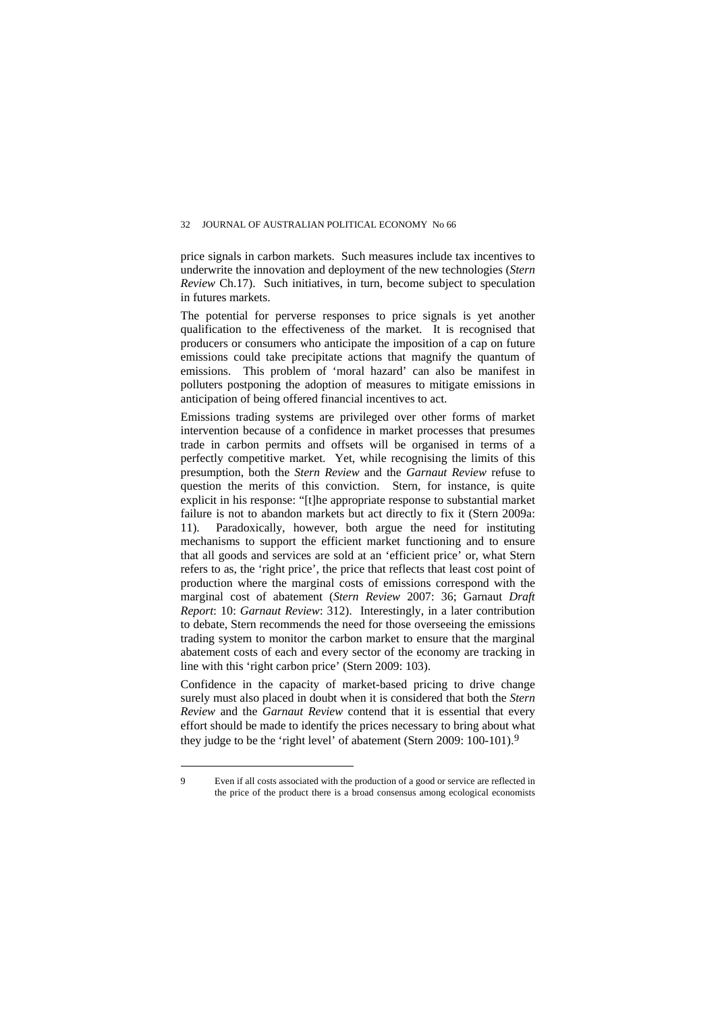#### 32 JOURNAL OF AUSTRALIAN POLITICAL ECONOMY No 66

price signals in carbon markets. Such measures include tax incentives to underwrite the innovation and deployment of the new technologies (*Stern Review* Ch.17). Such initiatives, in turn, become subject to speculation in futures markets.

The potential for perverse responses to price signals is yet another qualification to the effectiveness of the market. It is recognised that producers or consumers who anticipate the imposition of a cap on future emissions could take precipitate actions that magnify the quantum of emissions. This problem of 'moral hazard' can also be manifest in polluters postponing the adoption of measures to mitigate emissions in anticipation of being offered financial incentives to act.

Emissions trading systems are privileged over other forms of market intervention because of a confidence in market processes that presumes trade in carbon permits and offsets will be organised in terms of a perfectly competitive market. Yet, while recognising the limits of this presumption, both the *Stern Review* and the *Garnaut Review* refuse to question the merits of this conviction. Stern, for instance, is quite explicit in his response: "[t]he appropriate response to substantial market failure is not to abandon markets but act directly to fix it (Stern 2009a: 11). Paradoxically, however, both argue the need for instituting mechanisms to support the efficient market functioning and to ensure that all goods and services are sold at an 'efficient price' or, what Stern refers to as, the 'right price', the price that reflects that least cost point of production where the marginal costs of emissions correspond with the marginal cost of abatement (*Stern Review* 2007: 36; Garnaut *Draft Report*: 10: *Garnaut Review*: 312). Interestingly, in a later contribution to debate, Stern recommends the need for those overseeing the emissions trading system to monitor the carbon market to ensure that the marginal abatement costs of each and every sector of the economy are tracking in line with this 'right carbon price' (Stern 2009: 103).

Confidence in the capacity of market-based pricing to drive change surely must also placed in doubt when it is considered that both the *Stern Review* and the *Garnaut Review* contend that it is essential that every effort should be made to identify the prices necessary to bring about what they judge to be the 'right level' of abatement (Stern 200[9](#page-15-0): 100-101).<sup>9</sup>

<span id="page-15-0"></span><sup>9</sup> Even if all costs associated with the production of a good or service are reflected in the price of the product there is a broad consensus among ecological economists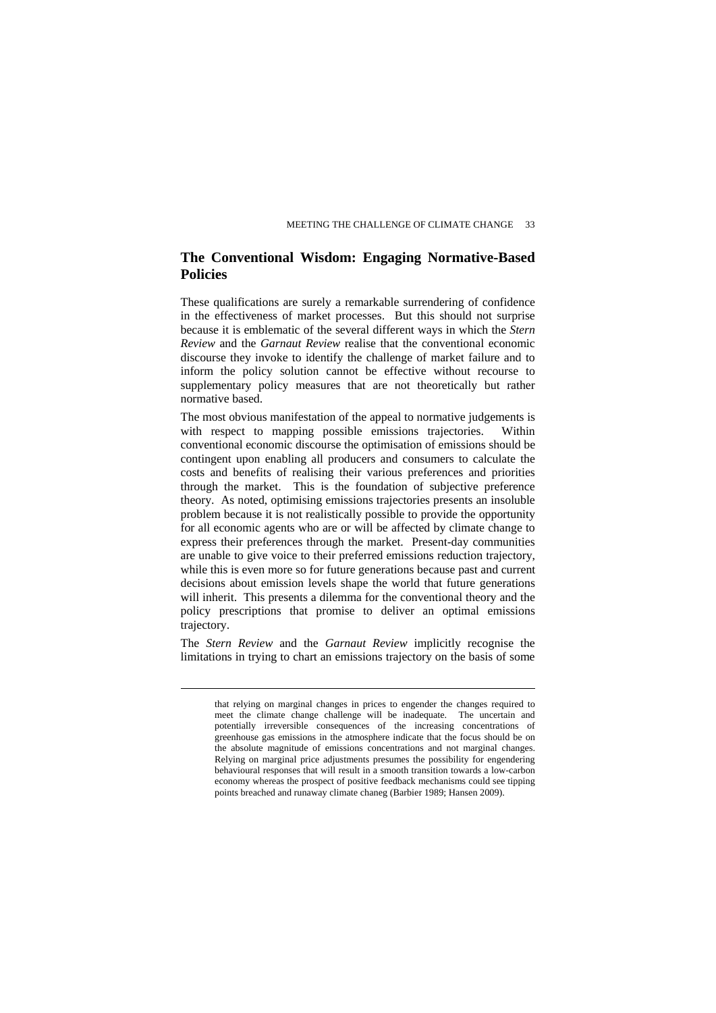### **The Conventional Wisdom: Engaging Normative-Based Policies**

These qualifications are surely a remarkable surrendering of confidence in the effectiveness of market processes. But this should not surprise because it is emblematic of the several different ways in which the *Stern Review* and the *Garnaut Review* realise that the conventional economic discourse they invoke to identify the challenge of market failure and to inform the policy solution cannot be effective without recourse to supplementary policy measures that are not theoretically but rather normative based.

The most obvious manifestation of the appeal to normative judgements is with respect to mapping possible emissions trajectories. Within conventional economic discourse the optimisation of emissions should be contingent upon enabling all producers and consumers to calculate the costs and benefits of realising their various preferences and priorities through the market. This is the foundation of subjective preference theory. As noted, optimising emissions trajectories presents an insoluble problem because it is not realistically possible to provide the opportunity for all economic agents who are or will be affected by climate change to express their preferences through the market. Present-day communities are unable to give voice to their preferred emissions reduction trajectory, while this is even more so for future generations because past and current decisions about emission levels shape the world that future generations will inherit. This presents a dilemma for the conventional theory and the policy prescriptions that promise to deliver an optimal emissions trajectory.

The *Stern Review* and the *Garnaut Review* implicitly recognise the limitations in trying to chart an emissions trajectory on the basis of some

that relying on marginal changes in prices to engender the changes required to meet the climate change challenge will be inadequate. The uncertain and potentially irreversible consequences of the increasing concentrations of greenhouse gas emissions in the atmosphere indicate that the focus should be on the absolute magnitude of emissions concentrations and not marginal changes. Relying on marginal price adjustments presumes the possibility for engendering behavioural responses that will result in a smooth transition towards a low-carbon economy whereas the prospect of positive feedback mechanisms could see tipping points breached and runaway climate chaneg (Barbier 1989; Hansen 2009).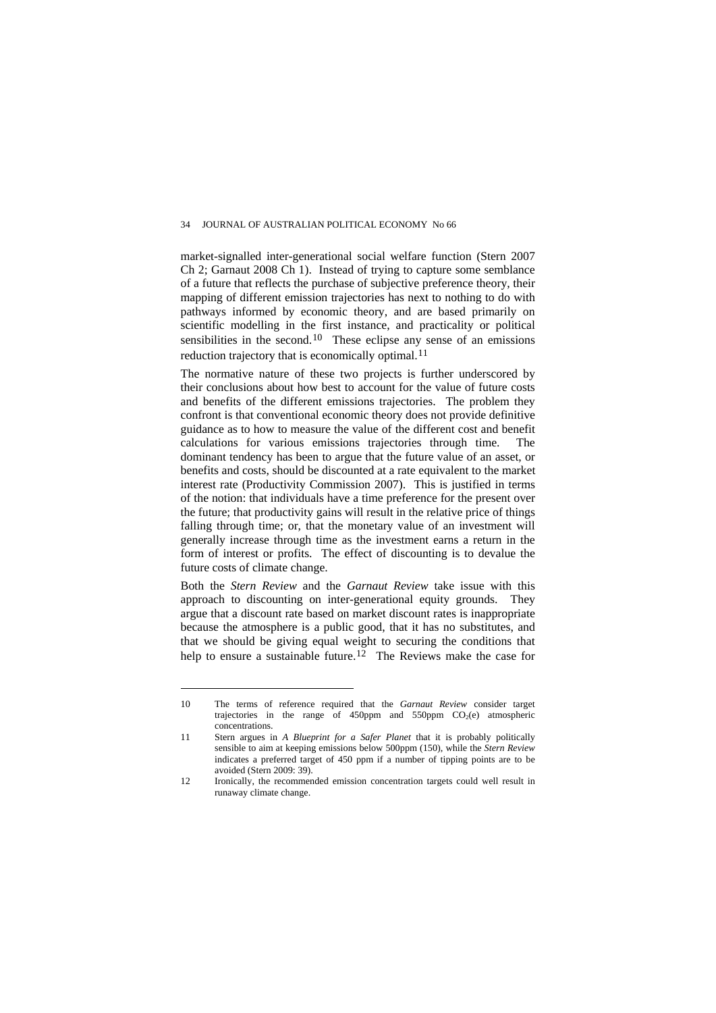market-signalled inter-generational social welfare function (Stern 2007 Ch 2; Garnaut 2008 Ch 1). Instead of trying to capture some semblance of a future that reflects the purchase of subjective preference theory, their mapping of different emission trajectories has next to nothing to do with pathways informed by economic theory, and are based primarily on scientific modelling in the first instance, and practicality or political sensibilities in the second.<sup>[10](#page-17-0)</sup> These eclipse any sense of an emissions reduction trajectory that is economically optimal.<sup>[11](#page-17-1)</sup>

The normative nature of these two projects is further underscored by their conclusions about how best to account for the value of future costs and benefits of the different emissions trajectories. The problem they confront is that conventional economic theory does not provide definitive guidance as to how to measure the value of the different cost and benefit calculations for various emissions trajectories through time. The dominant tendency has been to argue that the future value of an asset, or benefits and costs, should be discounted at a rate equivalent to the market interest rate (Productivity Commission 2007). This is justified in terms of the notion: that individuals have a time preference for the present over the future; that productivity gains will result in the relative price of things falling through time; or, that the monetary value of an investment will generally increase through time as the investment earns a return in the form of interest or profits. The effect of discounting is to devalue the future costs of climate change.

Both the *Stern Review* and the *Garnaut Review* take issue with this approach to discounting on inter-generational equity grounds. They argue that a discount rate based on market discount rates is inappropriate because the atmosphere is a public good, that it has no substitutes, and that we should be giving equal weight to securing the conditions that help to ensure a sustainable future.<sup>[12](#page-17-2)</sup> The Reviews make the case for

<span id="page-17-0"></span><sup>10</sup> The terms of reference required that the *Garnaut Review* consider target trajectories in the range of 450ppm and 550ppm  $CO<sub>2</sub>(e)$  atmospheric concentrations.

<span id="page-17-1"></span><sup>11</sup> Stern argues in *A Blueprint for a Safer Planet* that it is probably politically sensible to aim at keeping emissions below 500ppm (150), while the *Stern Review*  indicates a preferred target of 450 ppm if a number of tipping points are to be avoided (Stern 2009: 39).

<span id="page-17-2"></span><sup>12</sup> Ironically, the recommended emission concentration targets could well result in runaway climate change.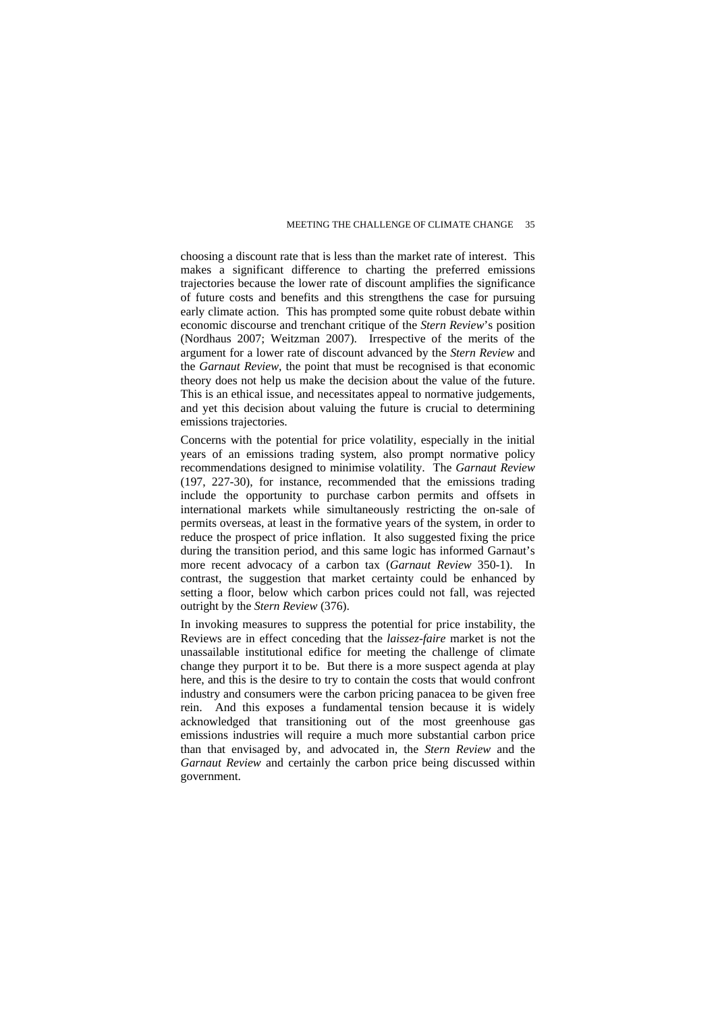choosing a discount rate that is less than the market rate of interest. This makes a significant difference to charting the preferred emissions trajectories because the lower rate of discount amplifies the significance of future costs and benefits and this strengthens the case for pursuing early climate action. This has prompted some quite robust debate within economic discourse and trenchant critique of the *Stern Review*'s position (Nordhaus 2007; Weitzman 2007). Irrespective of the merits of the argument for a lower rate of discount advanced by the *Stern Review* and the *Garnaut Review,* the point that must be recognised is that economic theory does not help us make the decision about the value of the future. This is an ethical issue, and necessitates appeal to normative judgements, and yet this decision about valuing the future is crucial to determining emissions trajectories.

Concerns with the potential for price volatility, especially in the initial years of an emissions trading system, also prompt normative policy recommendations designed to minimise volatility. The *Garnaut Review*  (197, 227-30), for instance, recommended that the emissions trading include the opportunity to purchase carbon permits and offsets in international markets while simultaneously restricting the on-sale of permits overseas, at least in the formative years of the system, in order to reduce the prospect of price inflation. It also suggested fixing the price during the transition period, and this same logic has informed Garnaut's more recent advocacy of a carbon tax (*Garnaut Review* 350-1). In contrast, the suggestion that market certainty could be enhanced by setting a floor, below which carbon prices could not fall, was rejected outright by the *Stern Review* (376).

In invoking measures to suppress the potential for price instability, the Reviews are in effect conceding that the *laissez-faire* market is not the unassailable institutional edifice for meeting the challenge of climate change they purport it to be. But there is a more suspect agenda at play here, and this is the desire to try to contain the costs that would confront industry and consumers were the carbon pricing panacea to be given free rein. And this exposes a fundamental tension because it is widely acknowledged that transitioning out of the most greenhouse gas emissions industries will require a much more substantial carbon price than that envisaged by, and advocated in, the *Stern Review* and the *Garnaut Review* and certainly the carbon price being discussed within government.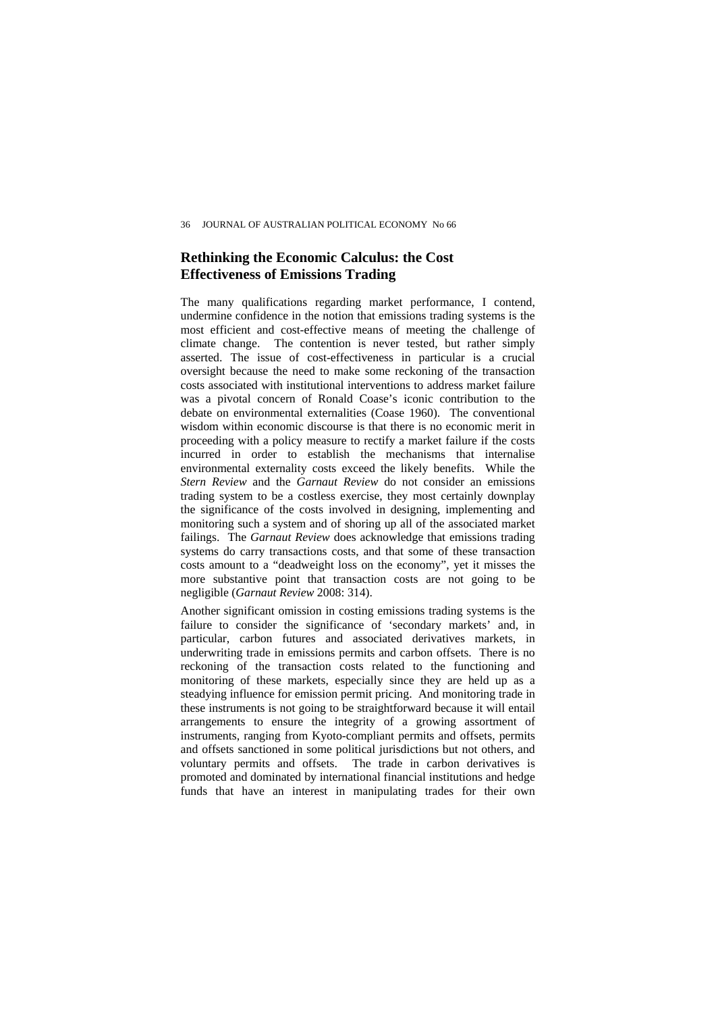## **Rethinking the Economic Calculus: the Cost Effectiveness of Emissions Trading**

The many qualifications regarding market performance, I contend, undermine confidence in the notion that emissions trading systems is the most efficient and cost-effective means of meeting the challenge of climate change. The contention is never tested, but rather simply asserted. The issue of cost-effectiveness in particular is a crucial oversight because the need to make some reckoning of the transaction costs associated with institutional interventions to address market failure was a pivotal concern of Ronald Coase's iconic contribution to the debate on environmental externalities (Coase 1960). The conventional wisdom within economic discourse is that there is no economic merit in proceeding with a policy measure to rectify a market failure if the costs incurred in order to establish the mechanisms that internalise environmental externality costs exceed the likely benefits. While the *Stern Review* and the *Garnaut Review* do not consider an emissions trading system to be a costless exercise, they most certainly downplay the significance of the costs involved in designing, implementing and monitoring such a system and of shoring up all of the associated market failings. The *Garnaut Review* does acknowledge that emissions trading systems do carry transactions costs, and that some of these transaction costs amount to a "deadweight loss on the economy", yet it misses the more substantive point that transaction costs are not going to be negligible (*Garnaut Review* 2008: 314).

Another significant omission in costing emissions trading systems is the failure to consider the significance of 'secondary markets' and, in particular, carbon futures and associated derivatives markets, in underwriting trade in emissions permits and carbon offsets. There is no reckoning of the transaction costs related to the functioning and monitoring of these markets, especially since they are held up as a steadying influence for emission permit pricing. And monitoring trade in these instruments is not going to be straightforward because it will entail arrangements to ensure the integrity of a growing assortment of instruments, ranging from Kyoto-compliant permits and offsets, permits and offsets sanctioned in some political jurisdictions but not others, and voluntary permits and offsets. The trade in carbon derivatives is promoted and dominated by international financial institutions and hedge funds that have an interest in manipulating trades for their own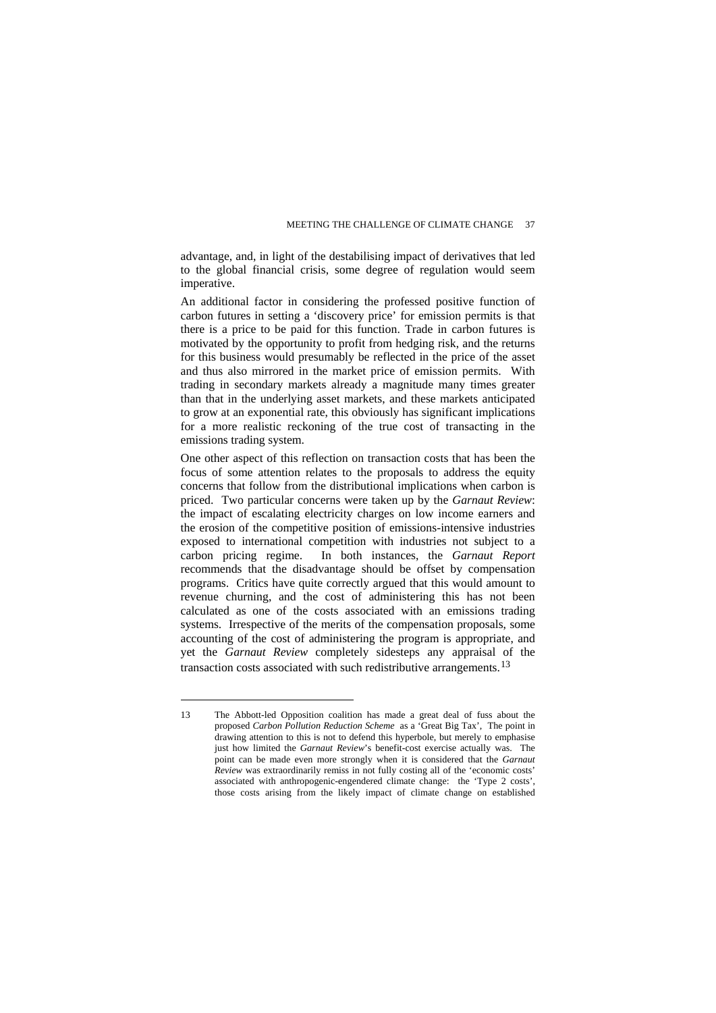advantage, and, in light of the destabilising impact of derivatives that led to the global financial crisis, some degree of regulation would seem imperative.

An additional factor in considering the professed positive function of carbon futures in setting a 'discovery price' for emission permits is that there is a price to be paid for this function. Trade in carbon futures is motivated by the opportunity to profit from hedging risk, and the returns for this business would presumably be reflected in the price of the asset and thus also mirrored in the market price of emission permits. With trading in secondary markets already a magnitude many times greater than that in the underlying asset markets, and these markets anticipated to grow at an exponential rate, this obviously has significant implications for a more realistic reckoning of the true cost of transacting in the emissions trading system.

One other aspect of this reflection on transaction costs that has been the focus of some attention relates to the proposals to address the equity concerns that follow from the distributional implications when carbon is priced. Two particular concerns were taken up by the *Garnaut Review*: the impact of escalating electricity charges on low income earners and the erosion of the competitive position of emissions-intensive industries exposed to international competition with industries not subject to a carbon pricing regime. In both instances, the *Garnaut Report*  recommends that the disadvantage should be offset by compensation programs. Critics have quite correctly argued that this would amount to revenue churning, and the cost of administering this has not been calculated as one of the costs associated with an emissions trading systems. Irrespective of the merits of the compensation proposals, some accounting of the cost of administering the program is appropriate, and yet the *Garnaut Review* completely sidesteps any appraisal of the transaction costs associated with such redistributive arrangements.[13](#page-20-0)

<span id="page-20-0"></span><sup>13</sup> The Abbott-led Opposition coalition has made a great deal of fuss about the proposed *Carbon Pollution Reduction Scheme* as a 'Great Big Tax', The point in drawing attention to this is not to defend this hyperbole, but merely to emphasise just how limited the *Garnaut Review*'s benefit-cost exercise actually was. The point can be made even more strongly when it is considered that the *Garnaut Review* was extraordinarily remiss in not fully costing all of the 'economic costs' associated with anthropogenic-engendered climate change: the 'Type 2 costs', those costs arising from the likely impact of climate change on established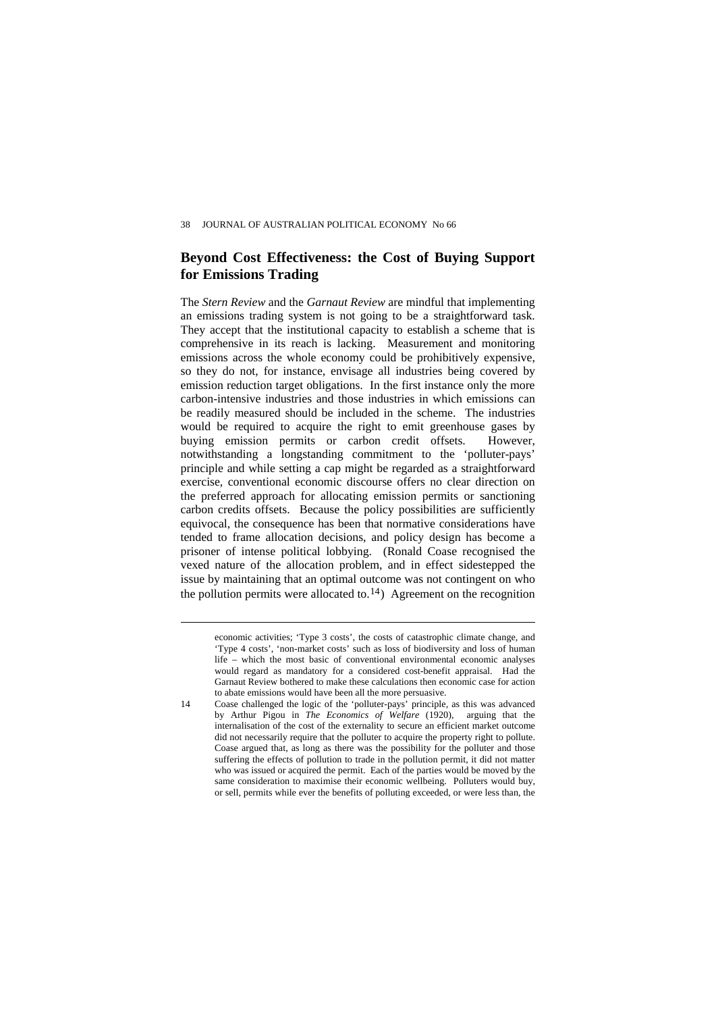#### **Beyond Cost Effectiveness: the Cost of Buying Support for Emissions Trading**

The *Stern Review* and the *Garnaut Review* are mindful that implementing an emissions trading system is not going to be a straightforward task. They accept that the institutional capacity to establish a scheme that is comprehensive in its reach is lacking. Measurement and monitoring emissions across the whole economy could be prohibitively expensive, so they do not, for instance, envisage all industries being covered by emission reduction target obligations. In the first instance only the more carbon-intensive industries and those industries in which emissions can be readily measured should be included in the scheme. The industries would be required to acquire the right to emit greenhouse gases by buying emission permits or carbon credit offsets. However, notwithstanding a longstanding commitment to the 'polluter-pays' principle and while setting a cap might be regarded as a straightforward exercise, conventional economic discourse offers no clear direction on the preferred approach for allocating emission permits or sanctioning carbon credits offsets. Because the policy possibilities are sufficiently equivocal, the consequence has been that normative considerations have tended to frame allocation decisions, and policy design has become a prisoner of intense political lobbying. (Ronald Coase recognised the vexed nature of the allocation problem, and in effect sidestepped the issue by maintaining that an optimal outcome was not contingent on who the pollution permits were allocated to.<sup>[14](#page-21-0)</sup>) Agreement on the recognition

economic activities; 'Type 3 costs', the costs of catastrophic climate change, and 'Type 4 costs', 'non-market costs' such as loss of biodiversity and loss of human life – which the most basic of conventional environmental economic analyses would regard as mandatory for a considered cost-benefit appraisal. Had the Garnaut Review bothered to make these calculations then economic case for action to abate emissions would have been all the more persuasive.

<span id="page-21-0"></span>

<sup>14</sup> Coase challenged the logic of the 'polluter-pays' principle, as this was advanced by Arthur Pigou in *The Economics of Welfare* (1920), arguing that the internalisation of the cost of the externality to secure an efficient market outcome did not necessarily require that the polluter to acquire the property right to pollute. Coase argued that, as long as there was the possibility for the polluter and those suffering the effects of pollution to trade in the pollution permit, it did not matter who was issued or acquired the permit. Each of the parties would be moved by the same consideration to maximise their economic wellbeing. Polluters would buy, or sell, permits while ever the benefits of polluting exceeded, or were less than, the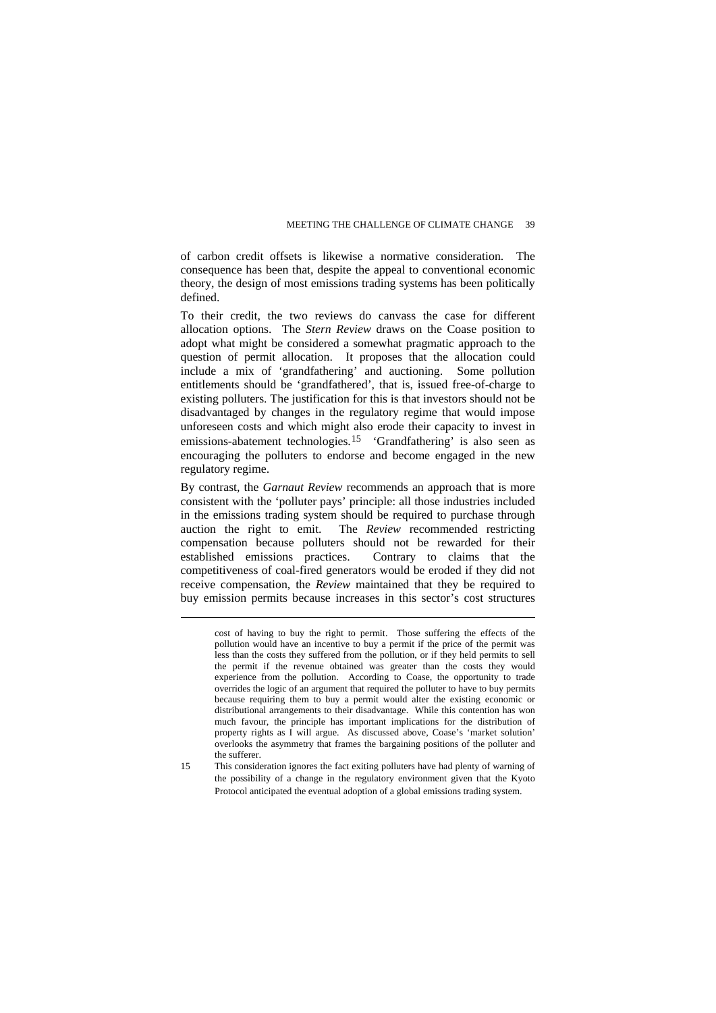of carbon credit offsets is likewise a normative consideration. The consequence has been that, despite the appeal to conventional economic theory, the design of most emissions trading systems has been politically defined.

To their credit, the two reviews do canvass the case for different allocation options. The *Stern Review* draws on the Coase position to adopt what might be considered a somewhat pragmatic approach to the question of permit allocation. It proposes that the allocation could include a mix of 'grandfathering' and auctioning. Some pollution entitlements should be 'grandfathered', that is, issued free-of-charge to existing polluters. The justification for this is that investors should not be disadvantaged by changes in the regulatory regime that would impose unforeseen costs and which might also erode their capacity to invest in emissions-abatement technologies.[15](#page-22-0) 'Grandfathering' is also seen as encouraging the polluters to endorse and become engaged in the new regulatory regime.

By contrast, the *Garnaut Review* recommends an approach that is more consistent with the 'polluter pays' principle: all those industries included in the emissions trading system should be required to purchase through auction the right to emit. The *Review* recommended restricting compensation because polluters should not be rewarded for their established emissions practices. Contrary to claims that the competitiveness of coal-fired generators would be eroded if they did not receive compensation, the *Review* maintained that they be required to buy emission permits because increases in this sector's cost structures

 $\overline{a}$ 

<span id="page-22-0"></span>15 This consideration ignores the fact exiting polluters have had plenty of warning of the possibility of a change in the regulatory environment given that the Kyoto Protocol anticipated the eventual adoption of a global emissions trading system.

cost of having to buy the right to permit. Those suffering the effects of the pollution would have an incentive to buy a permit if the price of the permit was less than the costs they suffered from the pollution, or if they held permits to sell the permit if the revenue obtained was greater than the costs they would experience from the pollution. According to Coase, the opportunity to trade overrides the logic of an argument that required the polluter to have to buy permits because requiring them to buy a permit would alter the existing economic or distributional arrangements to their disadvantage. While this contention has won much favour, the principle has important implications for the distribution of property rights as I will argue. As discussed above, Coase's 'market solution' overlooks the asymmetry that frames the bargaining positions of the polluter and the sufferer.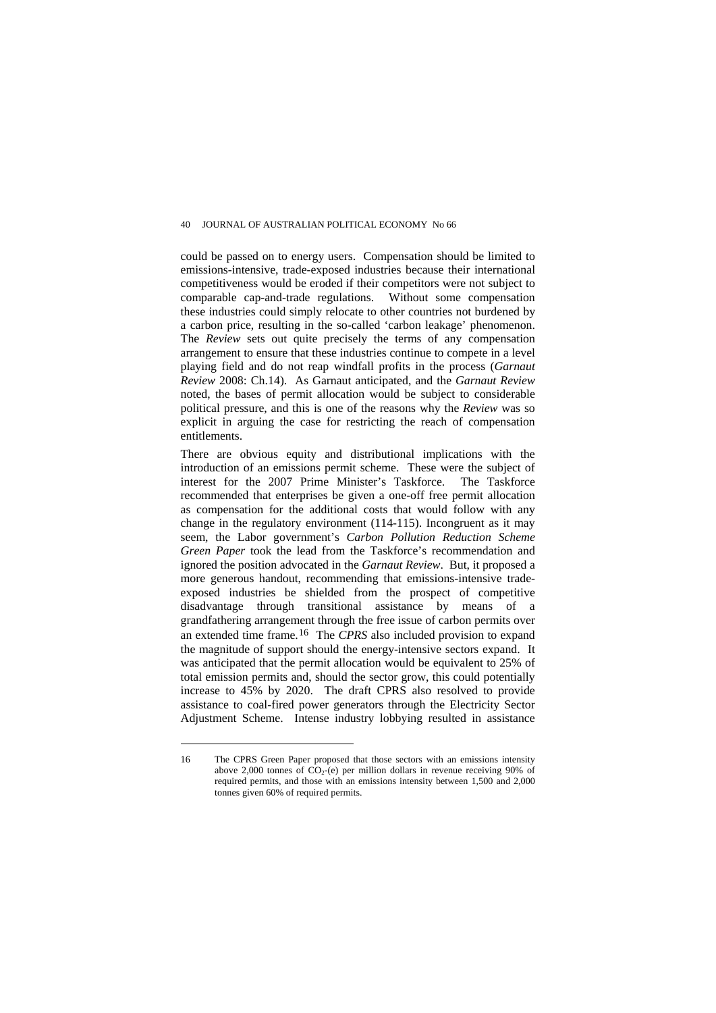could be passed on to energy users. Compensation should be limited to emissions-intensive, trade-exposed industries because their international competitiveness would be eroded if their competitors were not subject to comparable cap-and-trade regulations. Without some compensation these industries could simply relocate to other countries not burdened by a carbon price, resulting in the so-called 'carbon leakage' phenomenon. The *Review* sets out quite precisely the terms of any compensation arrangement to ensure that these industries continue to compete in a level playing field and do not reap windfall profits in the process (*Garnaut Review* 2008: Ch.14). As Garnaut anticipated, and the *Garnaut Review*  noted, the bases of permit allocation would be subject to considerable political pressure, and this is one of the reasons why the *Review* was so explicit in arguing the case for restricting the reach of compensation entitlements.

There are obvious equity and distributional implications with the introduction of an emissions permit scheme. These were the subject of interest for the 2007 Prime Minister's Taskforce. The Taskforce recommended that enterprises be given a one-off free permit allocation as compensation for the additional costs that would follow with any change in the regulatory environment (114-115). Incongruent as it may seem, the Labor government's *Carbon Pollution Reduction Scheme Green Paper* took the lead from the Taskforce's recommendation and ignored the position advocated in the *Garnaut Review*. But, it proposed a more generous handout, recommending that emissions-intensive tradeexposed industries be shielded from the prospect of competitive disadvantage through transitional assistance by means of a grandfathering arrangement through the free issue of carbon permits over an extended time frame.[16](#page-23-0) The *CPRS* also included provision to expand the magnitude of support should the energy-intensive sectors expand. It was anticipated that the permit allocation would be equivalent to 25% of total emission permits and, should the sector grow, this could potentially increase to 45% by 2020. The draft CPRS also resolved to provide assistance to coal-fired power generators through the Electricity Sector Adjustment Scheme. Intense industry lobbying resulted in assistance

<span id="page-23-0"></span><sup>16</sup> The CPRS Green Paper proposed that those sectors with an emissions intensity above 2,000 tonnes of  $CO<sub>2</sub>$ -(e) per million dollars in revenue receiving 90% of required permits, and those with an emissions intensity between 1,500 and 2,000 tonnes given 60% of required permits.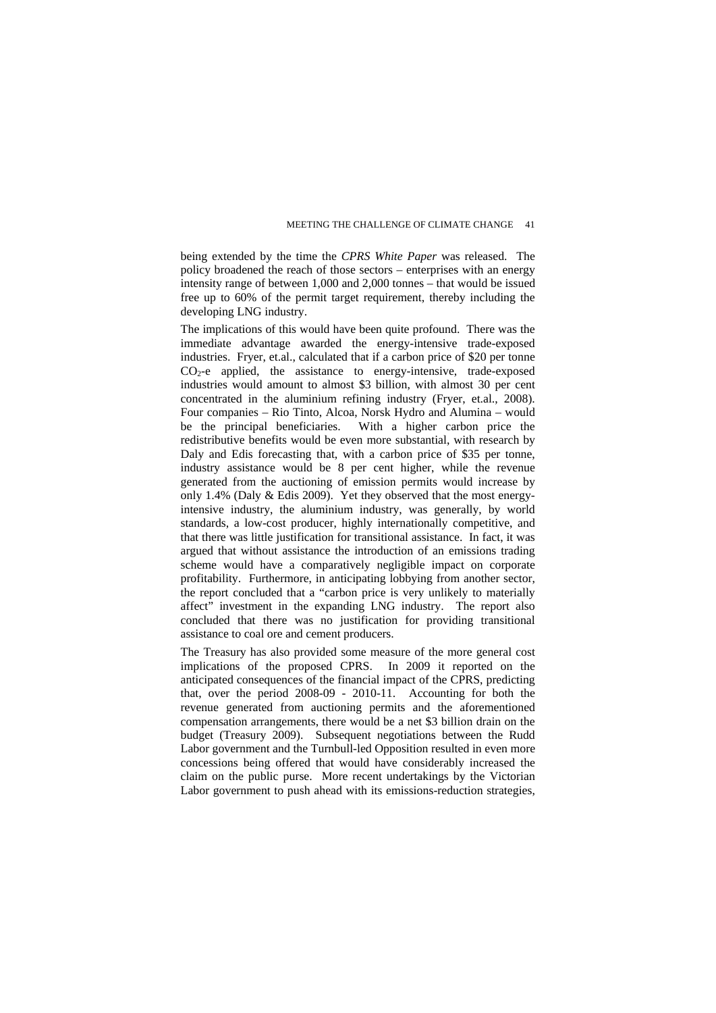being extended by the time the *CPRS White Paper* was released. The policy broadened the reach of those sectors – enterprises with an energy intensity range of between 1,000 and 2,000 tonnes – that would be issued free up to 60% of the permit target requirement, thereby including the developing LNG industry.

The implications of this would have been quite profound. There was the immediate advantage awarded the energy-intensive trade-exposed industries. Fryer, et.al., calculated that if a carbon price of \$20 per tonne CO<sub>2</sub>-e applied, the assistance to energy-intensive, trade-exposed industries would amount to almost \$3 billion, with almost 30 per cent concentrated in the aluminium refining industry (Fryer, et.al., 2008). Four companies – Rio Tinto, Alcoa, Norsk Hydro and Alumina – would be the principal beneficiaries. With a higher carbon price the redistributive benefits would be even more substantial, with research by Daly and Edis forecasting that, with a carbon price of \$35 per tonne. industry assistance would be 8 per cent higher, while the revenue generated from the auctioning of emission permits would increase by only 1.4% (Daly & Edis 2009). Yet they observed that the most energyintensive industry, the aluminium industry, was generally, by world standards, a low-cost producer, highly internationally competitive, and that there was little justification for transitional assistance. In fact, it was argued that without assistance the introduction of an emissions trading scheme would have a comparatively negligible impact on corporate profitability. Furthermore, in anticipating lobbying from another sector, the report concluded that a "carbon price is very unlikely to materially affect" investment in the expanding LNG industry. The report also concluded that there was no justification for providing transitional assistance to coal ore and cement producers.

The Treasury has also provided some measure of the more general cost implications of the proposed CPRS. In 2009 it reported on the anticipated consequences of the financial impact of the CPRS, predicting that, over the period 2008-09 - 2010-11. Accounting for both the revenue generated from auctioning permits and the aforementioned compensation arrangements, there would be a net \$3 billion drain on the budget (Treasury 2009). Subsequent negotiations between the Rudd Labor government and the Turnbull-led Opposition resulted in even more concessions being offered that would have considerably increased the claim on the public purse. More recent undertakings by the Victorian Labor government to push ahead with its emissions-reduction strategies,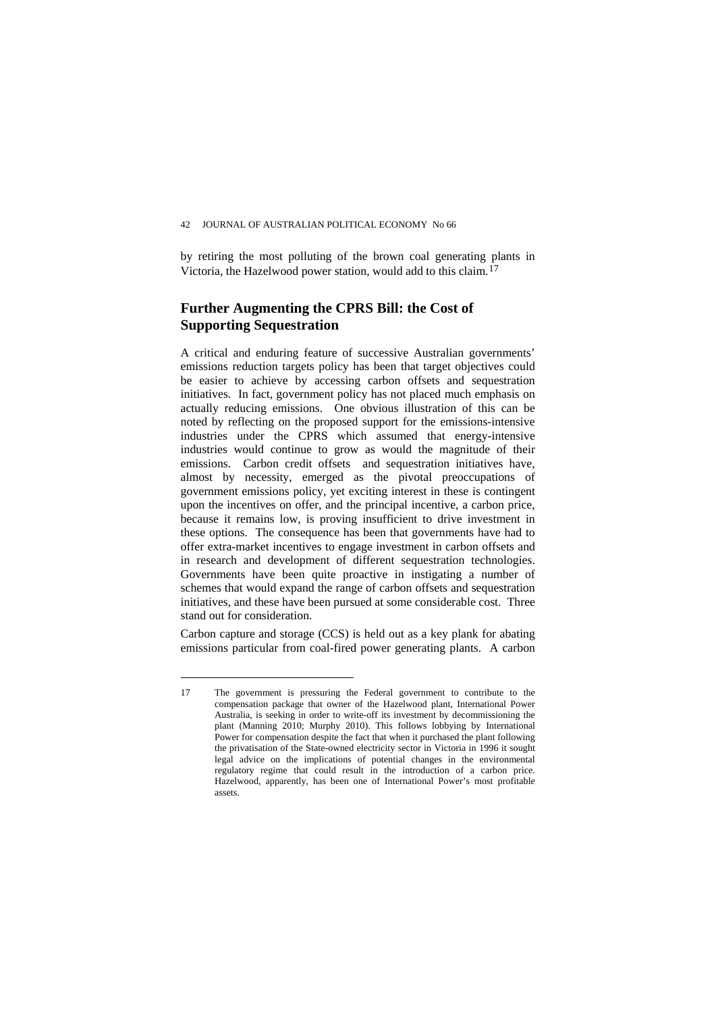by retiring the most polluting of the brown coal generating plants in Victoria, the Hazelwood power station, would add to this claim.[17](#page-25-0)

## **Further Augmenting the CPRS Bill: the Cost of Supporting Sequestration**

A critical and enduring feature of successive Australian governments' emissions reduction targets policy has been that target objectives could be easier to achieve by accessing carbon offsets and sequestration initiatives. In fact, government policy has not placed much emphasis on actually reducing emissions. One obvious illustration of this can be noted by reflecting on the proposed support for the emissions-intensive industries under the CPRS which assumed that energy-intensive industries would continue to grow as would the magnitude of their emissions. Carbon credit offsets and sequestration initiatives have, almost by necessity, emerged as the pivotal preoccupations of government emissions policy, yet exciting interest in these is contingent upon the incentives on offer, and the principal incentive, a carbon price, because it remains low, is proving insufficient to drive investment in these options. The consequence has been that governments have had to offer extra-market incentives to engage investment in carbon offsets and in research and development of different sequestration technologies. Governments have been quite proactive in instigating a number of schemes that would expand the range of carbon offsets and sequestration initiatives, and these have been pursued at some considerable cost. Three stand out for consideration.

Carbon capture and storage (CCS) is held out as a key plank for abating emissions particular from coal-fired power generating plants. A carbon

<span id="page-25-0"></span><sup>17</sup> The government is pressuring the Federal government to contribute to the compensation package that owner of the Hazelwood plant, International Power Australia, is seeking in order to write-off its investment by decommissioning the plant (Manning 2010; Murphy 2010). This follows lobbying by International Power for compensation despite the fact that when it purchased the plant following the privatisation of the State-owned electricity sector in Victoria in 1996 it sought legal advice on the implications of potential changes in the environmental regulatory regime that could result in the introduction of a carbon price. Hazelwood, apparently, has been one of International Power's most profitable assets.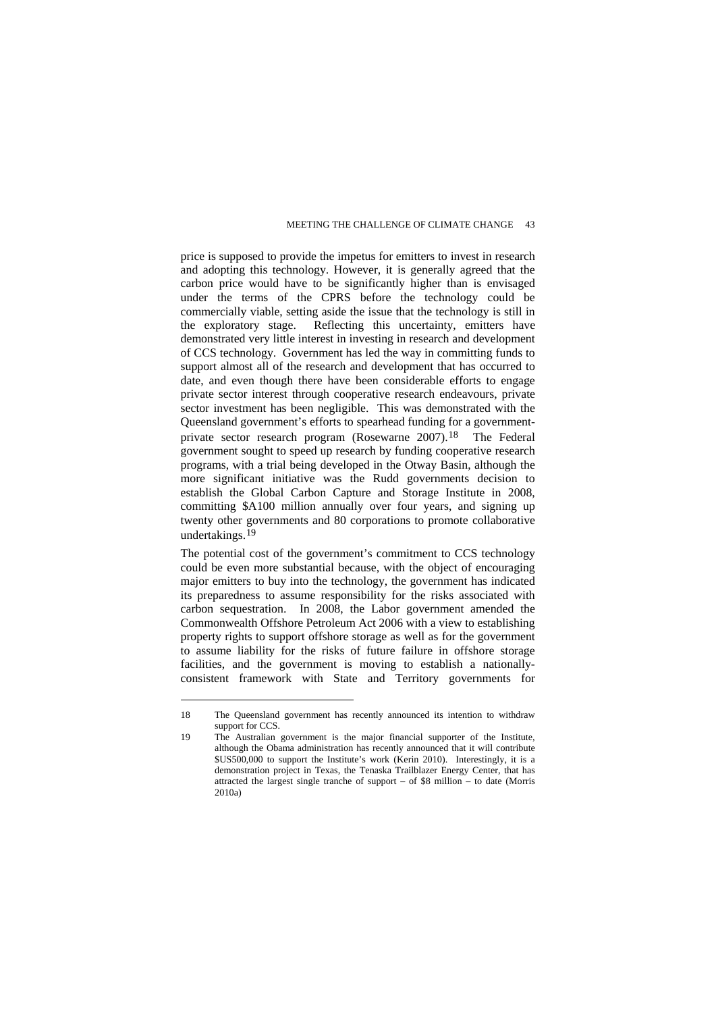price is supposed to provide the impetus for emitters to invest in research and adopting this technology. However, it is generally agreed that the carbon price would have to be significantly higher than is envisaged under the terms of the CPRS before the technology could be commercially viable, setting aside the issue that the technology is still in the exploratory stage. Reflecting this uncertainty, emitters have demonstrated very little interest in investing in research and development of CCS technology. Government has led the way in committing funds to support almost all of the research and development that has occurred to date, and even though there have been considerable efforts to engage private sector interest through cooperative research endeavours, private sector investment has been negligible. This was demonstrated with the Queensland government's efforts to spearhead funding for a governmentprivate sector research program (Rosewarne 2007).[18](#page-26-0) The Federal government sought to speed up research by funding cooperative research programs, with a trial being developed in the Otway Basin, although the more significant initiative was the Rudd governments decision to establish the Global Carbon Capture and Storage Institute in 2008, committing \$A100 million annually over four years, and signing up twenty other governments and 80 corporations to promote collaborative undertakings.[19](#page-26-1)

The potential cost of the government's commitment to CCS technology could be even more substantial because, with the object of encouraging major emitters to buy into the technology, the government has indicated its preparedness to assume responsibility for the risks associated with carbon sequestration. In 2008, the Labor government amended the Commonwealth Offshore Petroleum Act 2006 with a view to establishing property rights to support offshore storage as well as for the government to assume liability for the risks of future failure in offshore storage facilities, and the government is moving to establish a nationallyconsistent framework with State and Territory governments for

<span id="page-26-0"></span><sup>18</sup> The Queensland government has recently announced its intention to withdraw support for CCS.

<span id="page-26-1"></span><sup>19</sup> The Australian government is the major financial supporter of the Institute, although the Obama administration has recently announced that it will contribute \$US500,000 to support the Institute's work (Kerin 2010). Interestingly, it is a demonstration project in Texas, the Tenaska Trailblazer Energy Center, that has attracted the largest single tranche of support – of \$8 million – to date (Morris 2010a)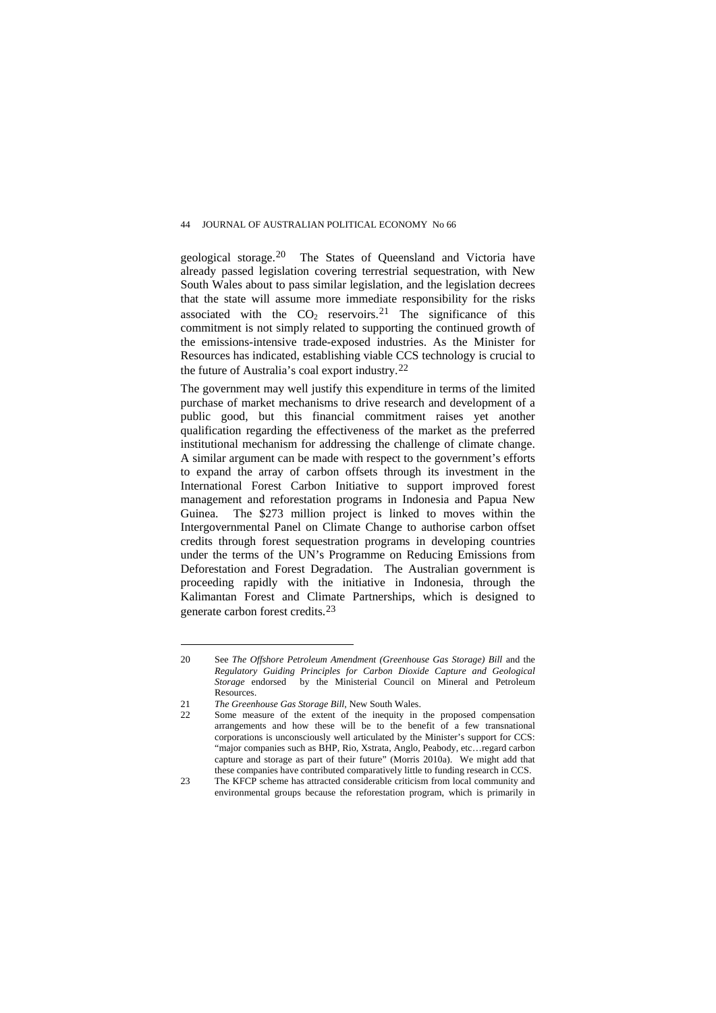geological storage.[20](#page-27-0) The States of Queensland and Victoria have already passed legislation covering terrestrial sequestration, with New South Wales about to pass similar legislation, and the legislation decrees that the state will assume more immediate responsibility for the risks associated with the  $CO<sub>2</sub>$  reservoirs.<sup>[21](#page-27-1)</sup> The significance of this commitment is not simply related to supporting the continued growth of the emissions-intensive trade-exposed industries. As the Minister for Resources has indicated, establishing viable CCS technology is crucial to the future of Australia's coal export industry.[22](#page-27-2)

The government may well justify this expenditure in terms of the limited purchase of market mechanisms to drive research and development of a public good, but this financial commitment raises yet another qualification regarding the effectiveness of the market as the preferred institutional mechanism for addressing the challenge of climate change. A similar argument can be made with respect to the government's efforts to expand the array of carbon offsets through its investment in the International Forest Carbon Initiative to support improved forest management and reforestation programs in Indonesia and Papua New Guinea. The \$273 million project is linked to moves within the Intergovernmental Panel on Climate Change to authorise carbon offset credits through forest sequestration programs in developing countries under the terms of the UN's Programme on Reducing Emissions from Deforestation and Forest Degradation. The Australian government is proceeding rapidly with the initiative in Indonesia, through the Kalimantan Forest and Climate Partnerships, which is designed to generate carbon forest credits.[23](#page-27-3)

<span id="page-27-0"></span><sup>20</sup> See *The Offshore Petroleum Amendment (Greenhouse Gas Storage) Bill* and the *[Regulatory Guiding Principles for Carbon Dioxide Capture and Geological](http://www.ret.gov.au/resources/Documents/ccs/CCS_Aust_Regulatory_Guiding_Principles.pdf)  [Storage](http://www.ret.gov.au/resources/Documents/ccs/CCS_Aust_Regulatory_Guiding_Principles.pdf)* endorsed by the [Ministerial Council on Mineral and Petroleum](http://www.ret.gov.au/resources/mcmpr/Pages/mcmpr.aspx)  [Resources.](http://www.ret.gov.au/resources/mcmpr/Pages/mcmpr.aspx) 

<span id="page-27-1"></span><sup>21</sup> *The Greenhouse Gas Storage Bill*, New South Wales.

<span id="page-27-2"></span><sup>22</sup> Some measure of the extent of the inequity in the proposed compensation arrangements and how these will be to the benefit of a few transnational corporations is unconsciously well articulated by the Minister's support for CCS: "major companies such as BHP, Rio, Xstrata, Anglo, Peabody, etc…regard carbon capture and storage as part of their future" (Morris 2010a). We might add that these companies have contributed comparatively little to funding research in CCS.

<span id="page-27-3"></span><sup>23</sup> The KFCP scheme has attracted considerable criticism from local community and environmental groups because the reforestation program, which is primarily in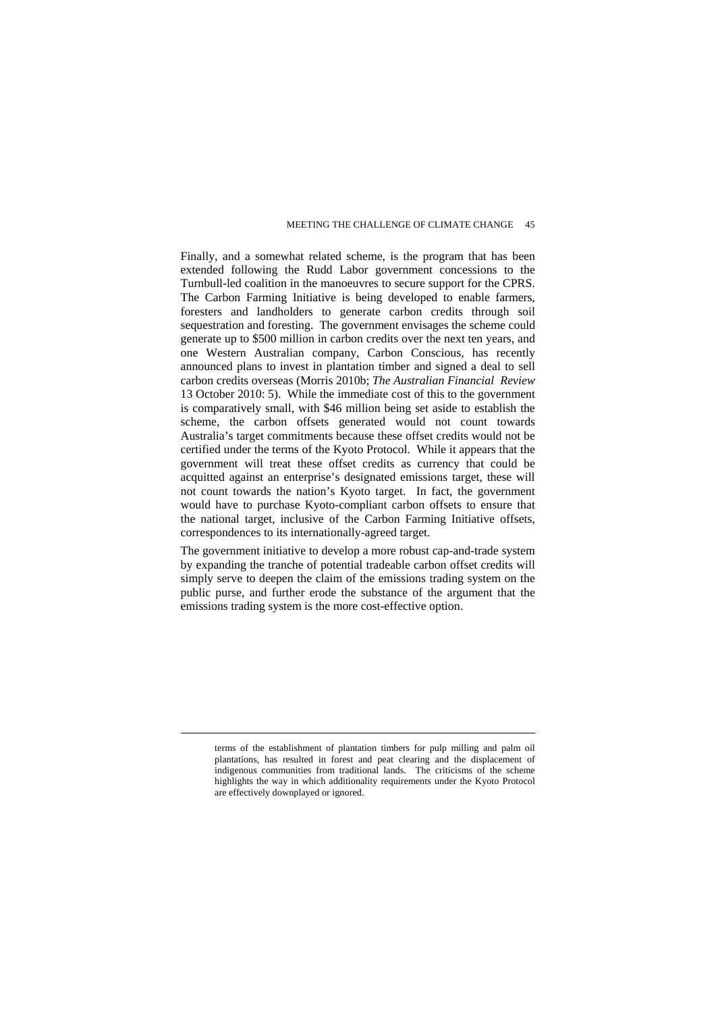Finally, and a somewhat related scheme, is the program that has been extended following the Rudd Labor government concessions to the Turnbull-led coalition in the manoeuvres to secure support for the CPRS. The Carbon Farming Initiative is being developed to enable farmers, foresters and landholders to generate carbon credits through soil sequestration and foresting. The government envisages the scheme could generate up to \$500 million in carbon credits over the next ten years, and one Western Australian company, Carbon Conscious, has recently announced plans to invest in plantation timber and signed a deal to sell carbon credits overseas (Morris 2010b; *The Australian Financial Review* 13 October 2010: 5). While the immediate cost of this to the government is comparatively small, with \$46 million being set aside to establish the scheme, the carbon offsets generated would not count towards Australia's target commitments because these offset credits would not be certified under the terms of the Kyoto Protocol. While it appears that the government will treat these offset credits as currency that could be acquitted against an enterprise's designated emissions target, these will not count towards the nation's Kyoto target. In fact, the government would have to purchase Kyoto-compliant carbon offsets to ensure that the national target, inclusive of the Carbon Farming Initiative offsets, correspondences to its internationally-agreed target.

The government initiative to develop a more robust cap-and-trade system by expanding the tranche of potential tradeable carbon offset credits will simply serve to deepen the claim of the emissions trading system on the public purse, and further erode the substance of the argument that the emissions trading system is the more cost-effective option.

terms of the establishment of plantation timbers for pulp milling and palm oil plantations, has resulted in forest and peat clearing and the displacement of indigenous communities from traditional lands. The criticisms of the scheme highlights the way in which additionality requirements under the Kyoto Protocol are effectively downplayed or ignored.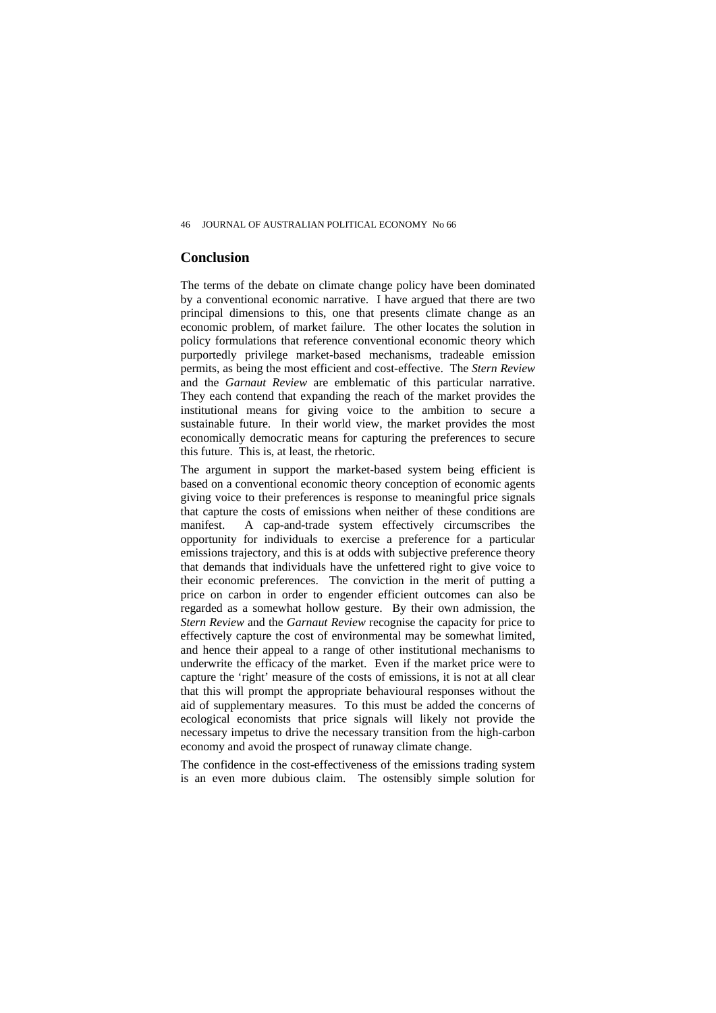#### **Conclusion**

The terms of the debate on climate change policy have been dominated by a conventional economic narrative. I have argued that there are two principal dimensions to this, one that presents climate change as an economic problem, of market failure. The other locates the solution in policy formulations that reference conventional economic theory which purportedly privilege market-based mechanisms, tradeable emission permits, as being the most efficient and cost-effective. The *Stern Review*  and the *Garnaut Review* are emblematic of this particular narrative. They each contend that expanding the reach of the market provides the institutional means for giving voice to the ambition to secure a sustainable future. In their world view, the market provides the most economically democratic means for capturing the preferences to secure this future. This is, at least, the rhetoric.

The argument in support the market-based system being efficient is based on a conventional economic theory conception of economic agents giving voice to their preferences is response to meaningful price signals that capture the costs of emissions when neither of these conditions are manifest. A cap-and-trade system effectively circumscribes the opportunity for individuals to exercise a preference for a particular emissions trajectory, and this is at odds with subjective preference theory that demands that individuals have the unfettered right to give voice to their economic preferences. The conviction in the merit of putting a price on carbon in order to engender efficient outcomes can also be regarded as a somewhat hollow gesture. By their own admission, the *Stern Review* and the *Garnaut Review* recognise the capacity for price to effectively capture the cost of environmental may be somewhat limited, and hence their appeal to a range of other institutional mechanisms to underwrite the efficacy of the market. Even if the market price were to capture the 'right' measure of the costs of emissions, it is not at all clear that this will prompt the appropriate behavioural responses without the aid of supplementary measures. To this must be added the concerns of ecological economists that price signals will likely not provide the necessary impetus to drive the necessary transition from the high-carbon economy and avoid the prospect of runaway climate change.

The confidence in the cost-effectiveness of the emissions trading system is an even more dubious claim. The ostensibly simple solution for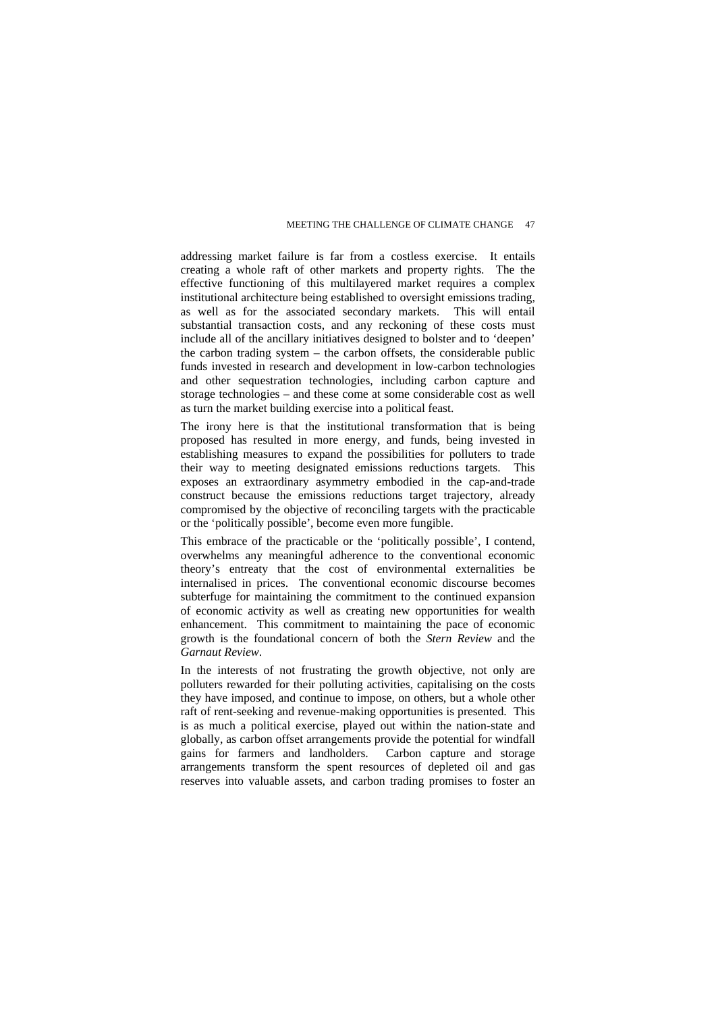addressing market failure is far from a costless exercise. It entails creating a whole raft of other markets and property rights. The the effective functioning of this multilayered market requires a complex institutional architecture being established to oversight emissions trading, as well as for the associated secondary markets. This will entail substantial transaction costs, and any reckoning of these costs must include all of the ancillary initiatives designed to bolster and to 'deepen' the carbon trading system – the carbon offsets, the considerable public funds invested in research and development in low-carbon technologies and other sequestration technologies, including carbon capture and storage technologies – and these come at some considerable cost as well as turn the market building exercise into a political feast.

The irony here is that the institutional transformation that is being proposed has resulted in more energy, and funds, being invested in establishing measures to expand the possibilities for polluters to trade their way to meeting designated emissions reductions targets. This exposes an extraordinary asymmetry embodied in the cap-and-trade construct because the emissions reductions target trajectory, already compromised by the objective of reconciling targets with the practicable or the 'politically possible', become even more fungible.

This embrace of the practicable or the 'politically possible', I contend, overwhelms any meaningful adherence to the conventional economic theory's entreaty that the cost of environmental externalities be internalised in prices. The conventional economic discourse becomes subterfuge for maintaining the commitment to the continued expansion of economic activity as well as creating new opportunities for wealth enhancement. This commitment to maintaining the pace of economic growth is the foundational concern of both the *Stern Review* and the *Garnaut Review*.

In the interests of not frustrating the growth objective, not only are polluters rewarded for their polluting activities, capitalising on the costs they have imposed, and continue to impose, on others, but a whole other raft of rent-seeking and revenue-making opportunities is presented. This is as much a political exercise, played out within the nation-state and globally, as carbon offset arrangements provide the potential for windfall gains for farmers and landholders. Carbon capture and storage arrangements transform the spent resources of depleted oil and gas reserves into valuable assets, and carbon trading promises to foster an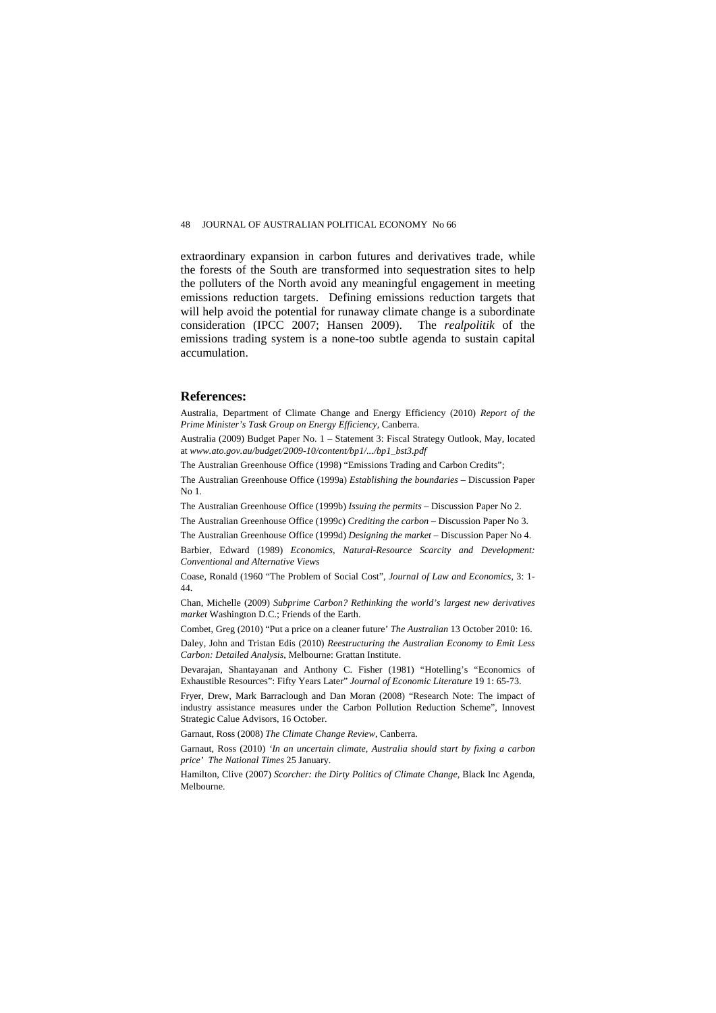extraordinary expansion in carbon futures and derivatives trade, while the forests of the South are transformed into sequestration sites to help the polluters of the North avoid any meaningful engagement in meeting emissions reduction targets. Defining emissions reduction targets that will help avoid the potential for runaway climate change is a subordinate consideration (IPCC 2007; Hansen 2009). The *realpolitik* of the emissions trading system is a none-too subtle agenda to sustain capital accumulation.

#### **References:**

Australia, Department of Climate Change and Energy Efficiency (2010) *Report of the Prime Minister's Task Group on Energy Efficiency*, Canberra.

Australia (2009) Budget Paper No. 1 – Statement 3: Fiscal Strategy Outlook, May, located at *www.ato.gov.au/budget/2009-10/content/bp1/.../bp1\_bst3.pdf*

The Australian Greenhouse Office (1998) "Emissions Trading and Carbon Credits";

The Australian Greenhouse Office (1999a) *Establishing the boundaries* – Discussion Paper No 1.

The Australian Greenhouse Office (1999b) *Issuing the permits* – Discussion Paper No 2.

The Australian Greenhouse Office (1999c) *Crediting the carbon* – Discussion Paper No 3.

The Australian Greenhouse Office (1999d) *Designing the market* – Discussion Paper No 4.

Barbier, Edward (1989) *Economics, Natural-Resource Scarcity and Development: Conventional and Alternative Views*

Coase, Ronald (1960 "The Problem of Social Cost", *Journal of Law and Economics*, 3: 1- 44.

Chan, Michelle (2009) *Subprime Carbon? Rethinking the world's largest new derivatives market* Washington D.C.; Friends of the Earth.

Combet, Greg (2010) "Put a price on a cleaner future' *The Australian* 13 October 2010: 16.

Daley, John and Tristan Edis (2010) *Reestructuring the Australian Economy to Emit Less Carbon: Detailed Analysis*, Melbourne: Grattan Institute.

Devarajan, Shantayanan and Anthony C. Fisher (1981) "Hotelling's "Economics of Exhaustible Resources": Fifty Years Later" *Journal of Economic Literature* 19 1: 65-73.

Fryer, Drew, Mark Barraclough and Dan Moran (2008) "Research Note: The impact of industry assistance measures under the Carbon Pollution Reduction Scheme", Innovest Strategic Calue Advisors, 16 October.

Garnaut, Ross (2008) *The Climate Change Review*, Canberra.

Garnaut, Ross (2010) *'In an uncertain climate, Australia should start by fixing a carbon price' The National Times* 25 January.

Hamilton, Clive (2007) *Scorcher: the Dirty Politics of Climate Change*, Black Inc Agenda, Melbourne.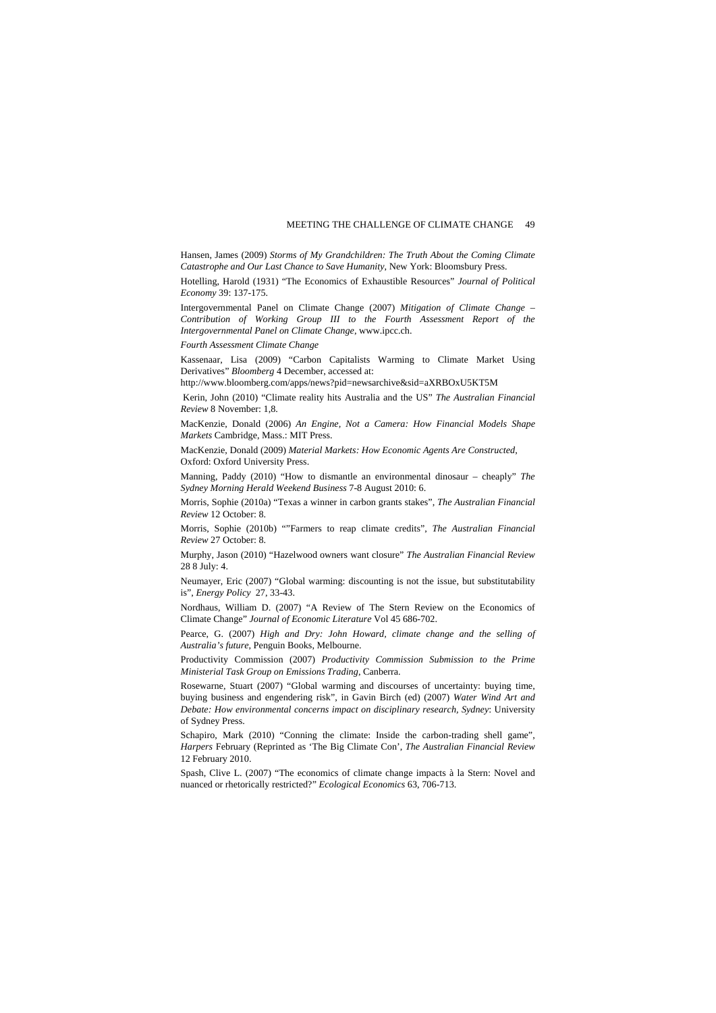Hansen, James (2009) *Storms of My Grandchildren: The Truth About the Coming Climate Catastrophe and Our Last Chance to Save Humanity*, New York: Bloomsbury Press.

Hotelling, Harold (1931) "The Economics of Exhaustible Resources" *Journal of Political Economy* 39: 137-175.

Intergovernmental Panel on Climate Change (2007) *Mitigation of Climate Change – Contribution of Working Group III to the Fourth Assessment Report of the Intergovernmental Panel on Climate Change*, www.ipcc.ch.

*Fourth Assessment Climate Change* 

Kassenaar, Lisa (2009) "Carbon Capitalists Warming to Climate Market Using Derivatives" *Bloomberg* 4 December, accessed at:

http://www.bloomberg.com/apps/news?pid=newsarchive&sid=aXRBOxU5KT5M

 Kerin, John (2010) "Climate reality hits Australia and the US" *The Australian Financial Review* 8 November: 1,8.

MacKenzie, Donald (2006) *An Engine, Not a Camera: How Financial Models Shape Markets* Cambridge, Mass.: MIT Press.

MacKenzie, Donald (2009) *Material Markets: How Economic Agents Are Constructed*, Oxford: Oxford University Press.

Manning, Paddy (2010) "How to dismantle an environmental dinosaur – cheaply" *The Sydney Morning Herald Weekend Business* 7-8 August 2010: 6.

Morris, Sophie (2010a) "Texas a winner in carbon grants stakes", *The Australian Financial Review* 12 October: 8.

Morris, Sophie (2010b) ""Farmers to reap climate credits", *The Australian Financial Review* 27 October: 8.

Murphy, Jason (2010) "Hazelwood owners want closure" *The Australian Financial Review*  28 8 July: 4.

Neumayer, Eric (2007) "Global warming: discounting is not the issue, but substitutability is", *Energy Policy* 27, 33-43.

Nordhaus, William D. (2007) "A Review of The Stern Review on the Economics of Climate Change" *Journal of Economic Literature* Vol 45 686-702.

Pearce, G. (2007) *High and Dry: John Howard, climate change and the selling of Australia's future*, Penguin Books, Melbourne.

Productivity Commission (2007) *Productivity Commission Submission to the Prime Ministerial Task Group on Emissions Trading*, Canberra.

Rosewarne, Stuart (2007) "Global warming and discourses of uncertainty: buying time, buying business and engendering risk", in Gavin Birch (ed) (2007) *[Water Wind Art and](http://purl.library.usyd.edu.au/sup/9781920898656)  [Debate: How environmental concerns impact on disciplinary research, Sydney](http://purl.library.usyd.edu.au/sup/9781920898656)*: University of Sydney Press.

Schapiro, Mark (2010) "Conning the climate: Inside the carbon-trading shell game", *Harpers* February (Reprinted as 'The Big Climate Con', *The Australian Financial Review*  12 February 2010.

Spash, Clive L. (2007) "The economics of climate change impacts à la Stern: Novel and nuanced or rhetorically restricted?" *Ecological Economics* 63, 706-713.